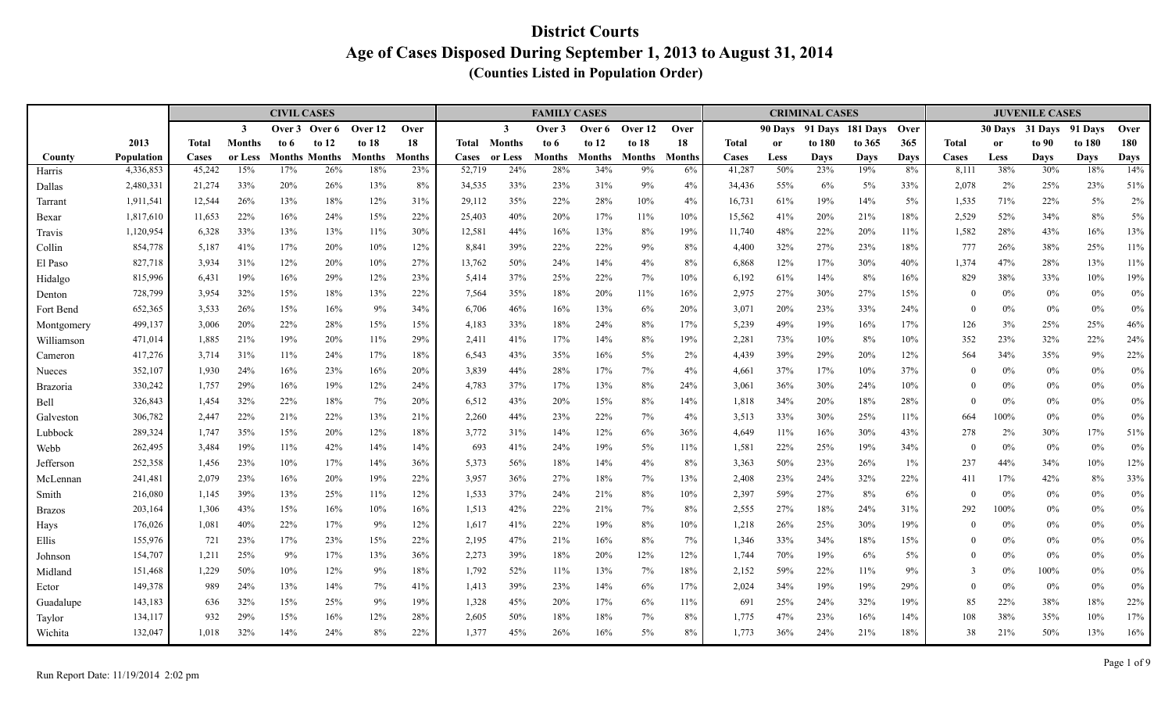|                 |                        |                  |                | <b>CIVIL CASES</b> |                      |            |               |                  |               | <b>FAMILY CASES</b> |               |               |           |                  |             | <b>CRIMINAL CASES</b> |                  |              |                |               | <b>JUVENILE CASES</b> |             |                    |
|-----------------|------------------------|------------------|----------------|--------------------|----------------------|------------|---------------|------------------|---------------|---------------------|---------------|---------------|-----------|------------------|-------------|-----------------------|------------------|--------------|----------------|---------------|-----------------------|-------------|--------------------|
|                 |                        |                  | $\overline{3}$ | Over 3             | Over 6               | Over 12    | Over          |                  | $\mathbf{3}$  | Over 3              | Over 6        | Over 12       | Over      |                  | 90 Davs     |                       | 91 Days 181 Days | <b>Over</b>  |                |               | 30 Days 31 Days       | 91 Days     | Over               |
|                 | 2013                   | <b>Total</b>     | <b>Months</b>  | to 6               | to $12$              | to $18$    | 18            | Total            | <b>Months</b> | to 6                | to $12$       | to $18$       | 18        | <b>Total</b>     | <b>or</b>   | to 180                | to 365           | 365          | <b>Total</b>   | <sub>or</sub> | to 90                 | to 180      | 180                |
| County          | Population             | Cases            | or Less        |                    | <b>Months Months</b> | Months     | <b>Months</b> | <b>Cases</b>     | or Less       | <b>Months</b>       | <b>Months</b> | <b>Months</b> | Months    | Cases            | <b>Less</b> | Days                  | Days             | <b>Days</b>  | Cases          | Less          | Days                  | <b>Days</b> | <b>Days</b><br>14% |
| Harris          | 4,336,853              | 45,242           | 15%            | 17%                | 26%                  | 18%        | 23%           | 52,719           | 24%           | 28%                 | 34%           | 9%            | 6%        | 41,287           | 50%         | 23%                   | 19%              | 8%           | 8,111          | 38%           | 30%                   | 18%         |                    |
| Dallas          | 2,480,331              | 21,274<br>12,544 | 33%<br>26%     | 20%<br>13%         | 26%<br>18%           | 13%<br>12% | 8%            | 34,535<br>29,112 | 33%<br>35%    | 23%<br>22%          | 31%<br>28%    | 9%<br>10%     | 4%        | 34,436<br>16,731 | 55%<br>61%  | 6%<br>19%             | 5%<br>14%        | 33%<br>$5\%$ | 2,078<br>1,535 | 2%<br>71%     | 25%<br>22%            | 23%<br>5%   | 51%<br>$2\%$       |
| Tarrant         | 1,911,541<br>1,817,610 | 11,653           | 22%            | 16%                | 24%                  | 15%        | 31%<br>22%    | 25,403           | 40%           | 20%                 | 17%           | 11%           | 4%<br>10% | 15,562           | 41%         | 20%                   | 21%              | 18%          | 2,529          | 52%           | 34%                   | 8%          | $5\%$              |
| Bexar<br>Travis | 1,120,954              | 6,328            | 33%            | 13%                | 13%                  | 11%        | 30%           | 12,581           | 44%           | 16%                 | 13%           | 8%            | 19%       | 11,740           | 48%         | 22%                   | 20%              | 11%          | 1,582          | 28%           | 43%                   | 16%         | 13%                |
| Collin          | 854,778                | 5,187            | 41%            | 17%                | 20%                  | 10%        | 12%           | 8,841            | 39%           | 22%                 | 22%           | 9%            | 8%        | 4,400            | 32%         | 27%                   | 23%              | 18%          | 777            | 26%           | 38%                   | 25%         | $11\%$             |
| El Paso         | 827,718                | 3,934            | 31%            | 12%                | 20%                  | 10%        | 27%           | 13,762           | 50%           | 24%                 | 14%           | 4%            | 8%        | 6,868            | 12%         | 17%                   | 30%              | 40%          | 1,374          | 47%           | 28%                   | 13%         | 11%                |
| Hidalgo         | 815,996                | 6,431            | 19%            | 16%                | 29%                  | 12%        | 23%           | 5,414            | 37%           | 25%                 | 22%           | 7%            | 10%       | 6,192            | 61%         | 14%                   | 8%               | 16%          | 829            | 38%           | 33%                   | $10\%$      | 19%                |
| Denton          | 728,799                | 3,954            | 32%            | 15%                | 18%                  | 13%        | 22%           | 7,564            | 35%           | 18%                 | 20%           | 11%           | 16%       | 2,975            | 27%         | 30%                   | 27%              | 15%          | $\theta$       | $0\%$         | $0\%$                 | $0\%$       | $0\%$              |
| Fort Bend       | 652,365                | 3,533            | 26%            | 15%                | 16%                  | 9%         | 34%           | 6,706            | 46%           | 16%                 | 13%           | 6%            | 20%       | 3,071            | 20%         | 23%                   | 33%              | 24%          | $\Omega$       | 0%            | $0\%$                 | $0\%$       | $0\%$              |
| Montgomery      | 499,137                | 3,006            | 20%            | 22%                | 28%                  | 15%        | 15%           | 4,183            | 33%           | 18%                 | 24%           | 8%            | 17%       | 5,239            | 49%         | 19%                   | 16%              | 17%          | 126            | 3%            | 25%                   | 25%         | $46\%$             |
| Williamson      | 471,014                | 1,885            | 21%            | 19%                | 20%                  | 11%        | 29%           | 2,411            | 41%           | 17%                 | 14%           | 8%            | 19%       | 2,281            | 73%         | 10%                   | 8%               | 10%          | 352            | 23%           | 32%                   | 22%         | 24%                |
| Cameron         | 417,276                | 3,714            | 31%            | 11%                | 24%                  | 17%        | 18%           | 6,543            | 43%           | 35%                 | 16%           | $5\%$         | 2%        | 4,439            | 39%         | 29%                   | 20%              | 12%          | 564            | 34%           | 35%                   | 9%          | 22%                |
| Nueces          | 352,107                | 1,930            | 24%            | 16%                | 23%                  | 16%        | 20%           | 3,839            | 44%           | 28%                 | 17%           | 7%            | 4%        | 4,661            | 37%         | 17%                   | 10%              | 37%          | $\theta$       | 0%            | $0\%$                 | 0%          | $0\%$              |
| <b>Brazoria</b> | 330,242                | 1,757            | 29%            | 16%                | 19%                  | 12%        | 24%           | 4,783            | 37%           | 17%                 | 13%           | 8%            | 24%       | 3,061            | 36%         | 30%                   | 24%              | 10%          | $\theta$       | $0\%$         | $0\%$                 | 0%          | $0\%$              |
| Bell            | 326,843                | 1,454            | 32%            | 22%                | 18%                  | 7%         | 20%           | 6,512            | 43%           | 20%                 | 15%           | 8%            | 14%       | 1,818            | 34%         | 20%                   | 18%              | 28%          | $\theta$       | 0%            | $0\%$                 | $0\%$       | $0\%$              |
| Galveston       | 306,782                | 2,447            | 22%            | 21%                | 22%                  | 13%        | 21%           | 2,260            | 44%           | 23%                 | 22%           | 7%            | 4%        | 3,513            | 33%         | 30%                   | 25%              | 11%          | 664            | 100%          | $0\%$                 | 0%          | $0\%$              |
| Lubbock         | 289,324                | 1,747            | 35%            | 15%                | 20%                  | 12%        | $18\%$        | 3,772            | 31%           | 14%                 | 12%           | 6%            | 36%       | 4,649            | 11%         | 16%                   | 30%              | 43%          | 278            | 2%            | 30%                   | 17%         | 51%                |
| Webb            | 262,495                | 3,484            | 19%            | 11%                | 42%                  | 14%        | 14%           | 693              | 41%           | 24%                 | 19%           | $5\%$         | 11%       | 1,581            | 22%         | 25%                   | 19%              | 34%          | $\theta$       | 0%            | $0\%$                 | 0%          | $0\%$              |
| Jefferson       | 252,358                | 1,456            | 23%            | 10%                | 17%                  | 14%        | 36%           | 5,373            | 56%           | 18%                 | 14%           | 4%            | 8%        | 3,363            | 50%         | 23%                   | 26%              | $1\%$        | 237            | 44%           | 34%                   | 10%         | 12%                |
| McLennan        | 241,481                | 2,079            | 23%            | 16%                | 20%                  | 19%        | 22%           | 3,957            | 36%           | 27%                 | 18%           | 7%            | 13%       | 2,408            | 23%         | 24%                   | 32%              | 22%          | 411            | 17%           | 42%                   | 8%          | 33%                |
| Smith           | 216,080                | 1,145            | 39%            | 13%                | 25%                  | 11%        | 12%           | 1,533            | 37%           | 24%                 | 21%           | 8%            | 10%       | 2,397            | 59%         | 27%                   | 8%               | 6%           | $\Omega$       | 0%            | $0\%$                 | 0%          | $0\%$              |
| <b>Brazos</b>   | 203,164                | 1,306            | 43%            | 15%                | 16%                  | 10%        | 16%           | 1,513            | 42%           | 22%                 | 21%           | 7%            | 8%        | 2,555            | 27%         | 18%                   | 24%              | 31%          | 292            | 100%          | $0\%$                 | $0\%$       | $0\%$              |
| Hays            | 176,026                | 1,081            | 40%            | 22%                | 17%                  | 9%         | 12%           | 1,617            | 41%           | 22%                 | 19%           | 8%            | 10%       | 1,218            | 26%         | 25%                   | 30%              | 19%          | $\theta$       | 0%            | $0\%$                 | $0\%$       | $0\%$              |
| Ellis           | 155,976                | 721              | 23%            | 17%                | 23%                  | 15%        | 22%           | 2,195            | 47%           | 21%                 | 16%           | 8%            | 7%        | 1,346            | 33%         | 34%                   | 18%              | 15%          | $\theta$       | $0\%$         | $0\%$                 | $0\%$       | $0\%$              |
| Johnson         | 154,707                | 1,211            | 25%            | 9%                 | 17%                  | 13%        | 36%           | 2,273            | 39%           | 18%                 | 20%           | 12%           | 12%       | 1,744            | 70%         | 19%                   | 6%               | 5%           | $\theta$       | 0%            | $0\%$                 | $0\%$       | $0\%$              |
| Midland         | 151,468                | 1,229            | 50%            | 10%                | 12%                  | 9%         | 18%           | 1,792            | 52%           | 11%                 | 13%           | 7%            | $18\%$    | 2,152            | 59%         | 22%                   | 11%              | 9%           | 3              | 0%            | $100\%$               | 0%          | $0\%$              |
| Ector           | 149,378                | 989              | 24%            | 13%                | 14%                  | 7%         | 41%           | 1,413            | 39%           | 23%                 | 14%           | 6%            | 17%       | 2,024            | 34%         | 19%                   | 19%              | 29%          | $\theta$       | 0%            | $0\%$                 | 0%          | $0\%$              |
| Guadalupe       | 143,183                | 636              | 32%            | 15%                | 25%                  | 9%         | 19%           | 1,328            | 45%           | 20%                 | 17%           | 6%            | 11%       | 691              | 25%         | 24%                   | 32%              | 19%          | 85             | 22%           | 38%                   | 18%         | 22%                |
| Taylor          | 134,117                | 932              | 29%            | 15%                | 16%                  | 12%        | 28%           | 2,605            | 50%           | 18%                 | 18%           | 7%            | 8%        | 1,775            | 47%         | 23%                   | 16%              | 14%          | 108            | 38%           | 35%                   | 10%         | 17%                |
| Wichita         | 132,047                | 1,018            | 32%            | 14%                | 24%                  | 8%         | 22%           | 1,377            | 45%           | 26%                 | 16%           | $5\%$         | 8%        | 1,773            | 36%         | 24%                   | 21%              | 18%          | 38             | 21%           | 50%                   | 13%         | 16%                |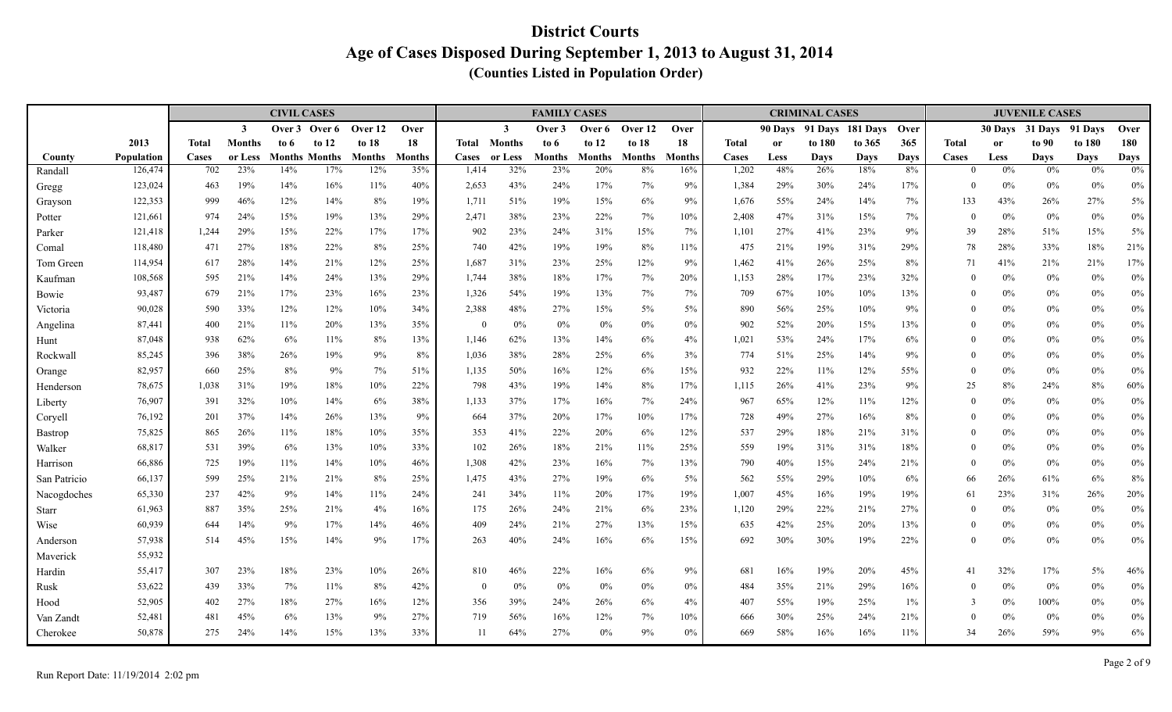|                  |                    |              |                | <b>CIVIL CASES</b> |                      |            |               |                |               | <b>FAMILY CASES</b> |               |               |           |                |            | <b>CRIMINAL CASES</b> |             |           |                |               | <b>JUVENILE CASES</b> |            |              |
|------------------|--------------------|--------------|----------------|--------------------|----------------------|------------|---------------|----------------|---------------|---------------------|---------------|---------------|-----------|----------------|------------|-----------------------|-------------|-----------|----------------|---------------|-----------------------|------------|--------------|
|                  |                    |              | $\overline{3}$ | Over 3             | Over 6               | Over 12    | Over          |                | $\mathbf{3}$  | Over 3              | Over 6        | Over 12       | Over      |                | 90 Days    | 91 Days               | 181 Davs    | Over      |                | 30 Days       | 31 Days               | 91 Davs    | Over         |
|                  | 2013               | <b>Total</b> | <b>Months</b>  | to 6               | to $12$              | to $18$    | 18            | Total          | <b>Months</b> | to 6                | to $12$       | to $18$       | 18        | <b>Total</b>   | <b>or</b>  | to 180                | to 365      | 365       | <b>Total</b>   | <sub>or</sub> | to 90                 | to 180     | 180          |
| County           | <b>Population</b>  | Cases        | or Less        |                    | <b>Months Months</b> | Months     | <b>Months</b> | Cases          | or Less       | Months              | <b>Months</b> | <b>Months</b> | Months    | Cases          | Less       | Days                  | <b>Days</b> | Days      | Cases          | Less          | <b>Days</b>           | Days       | <b>Days</b>  |
| Randall          | 126,474            | 702          | 23%            | 14%                | 17%                  | 12%        | 35%           | 1,414          | 32%           | 23%                 | 20%           | 8%            | 16%       | 1,202          | 48%        | 26%                   | 18%         | 8%        | $\Omega$       | $0\%$         | $0\%$                 | 0%         | 0%           |
| Gregg            | 123,024            | 463          | 19%            | 14%                | 16%                  | 11%        | 40%           | 2,653          | 43%           | 24%                 | 17%           | 7%            | 9%        | 1,384          | 29%        | 30%                   | 24%         | 17%       | $\theta$       | 0%            | $0\%$                 | $0\%$      | $0\%$        |
| Grayson          | 122,353            | 999          | 46%            | 12%                | 14%                  | 8%         | 19%           | 1,711          | 51%           | 19%                 | 15%           | 6%            | 9%        | 1,676          | 55%        | 24%                   | 14%         | 7%        | 133            | 43%           | 26%                   | 27%        | $5\%$        |
| Potter           | 121,661            | 974          | 24%            | 15%                | 19%                  | 13%        | 29%           | 2,471          | 38%           | 23%                 | 22%           | 7%            | 10%       | 2,408          | 47%        | 31%                   | 15%         | 7%        | $\mathbf{0}$   | $0\%$         | $0\%$                 | 0%         | $0\%$        |
| Parker           | 121,418            | 1,244        | 29%<br>27%     | 15%<br>18%         | 22%                  | 17%        | 17%<br>25%    | 902            | 23%<br>42%    | 24%<br>19%          | 31%<br>19%    | 15%           | 7%        | 1,101          | 27%        | 41%                   | 23%         | 9%        | 39             | 28%<br>28%    | 51%<br>33%            | 15%<br>18% | 5%           |
| Comal            | 118,480            | 471          |                |                    | 22%                  | 8%         |               | 740            |               |                     |               | 8%            | 11%       | 475            | 21%        | 19%                   | 31%         | 29%       | 78             |               |                       |            | 21%          |
| Tom Green        | 114,954<br>108,568 | 617<br>595   | 28%<br>21%     | 14%<br>14%         | 21%<br>24%           | 12%<br>13% | 25%<br>29%    | 1,687<br>1,744 | 31%<br>38%    | 23%<br>18%          | 25%<br>17%    | 12%<br>7%     | 9%<br>20% | 1,462<br>1,153 | 41%<br>28% | 26%<br>17%            | 25%<br>23%  | 8%<br>32% | 71<br>$\theta$ | 41%<br>$0\%$  | 21%<br>$0\%$          | 21%<br>0%  | 17%<br>$0\%$ |
| Kaufman          | 93,487             | 679          | 21%            | 17%                | 23%                  | 16%        | 23%           | 1,326          | 54%           | 19%                 | 13%           | 7%            | 7%        | 709            | 67%        | 10%                   | 10%         | 13%       | $\theta$       | $0\%$         | $0\%$                 | $0\%$      | $0\%$        |
| Bowie            | 90,028             | 590          | 33%            | 12%                | 12%                  | 10%        | 34%           | 2,388          | 48%           | 27%                 | 15%           | $5\%$         | 5%        | 890            | 56%        | 25%                   | 10%         | 9%        | $\theta$       | 0%            | $0\%$                 | $0\%$      | $0\%$        |
| Victoria         | 87,441             | 400          | 21%            | 11%                | 20%                  | 13%        | 35%           | $\theta$       | 0%            | 0%                  | $0\%$         | 0%            | 0%        | 902            | 52%        | 20%                   | 15%         | 13%       | $\theta$       | 0%            | $0\%$                 | 0%         | $0\%$        |
| Angelina<br>Hunt | 87,048             | 938          | 62%            | 6%                 | 11%                  | 8%         | 13%           | 1,146          | 62%           | 13%                 | 14%           | 6%            | 4%        | 1,021          | 53%        | 24%                   | 17%         | 6%        | $\theta$       | $0\%$         | $0\%$                 | $0\%$      | $0\%$        |
| Rockwall         | 85,245             | 396          | 38%            | 26%                | 19%                  | 9%         | 8%            | 1,036          | 38%           | 28%                 | 25%           | 6%            | 3%        | 774            | 51%        | 25%                   | 14%         | 9%        | $\Omega$       | $0\%$         | $0\%$                 | $0\%$      | $0\%$        |
| Orange           | 82,957             | 660          | 25%            | 8%                 | 9%                   | 7%         | 51%           | 1,135          | 50%           | 16%                 | 12%           | 6%            | 15%       | 932            | 22%        | 11%                   | 12%         | 55%       | $\theta$       | 0%            | $0\%$                 | $0\%$      | 0%           |
| Henderson        | 78,675             | 1,038        | 31%            | 19%                | 18%                  | 10%        | 22%           | 798            | 43%           | 19%                 | 14%           | 8%            | 17%       | 1,115          | 26%        | 41%                   | 23%         | 9%        | 25             | 8%            | 24%                   | 8%         | 60%          |
| Liberty          | 76,907             | 391          | 32%            | 10%                | 14%                  | 6%         | 38%           | 1,133          | 37%           | 17%                 | 16%           | 7%            | 24%       | 967            | 65%        | 12%                   | 11%         | 12%       | $\theta$       | $0\%$         | $0\%$                 | $0\%$      | $0\%$        |
| Coryell          | 76,192             | 201          | 37%            | 14%                | 26%                  | 13%        | 9%            | 664            | 37%           | 20%                 | 17%           | 10%           | 17%       | 728            | 49%        | 27%                   | 16%         | 8%        | $\theta$       | $0\%$         | $0\%$                 | 0%         | $0\%$        |
| Bastrop          | 75,825             | 865          | 26%            | 11%                | 18%                  | 10%        | 35%           | 353            | 41%           | 22%                 | 20%           | 6%            | 12%       | 537            | 29%        | 18%                   | 21%         | 31%       | $\theta$       | $0\%$         | $0\%$                 | $0\%$      | $0\%$        |
| Walker           | 68,817             | 531          | 39%            | 6%                 | 13%                  | 10%        | 33%           | 102            | 26%           | 18%                 | 21%           | 11%           | 25%       | 559            | 19%        | 31%                   | 31%         | 18%       | $\Omega$       | 0%            | $0\%$                 | 0%         | $0\%$        |
| Harrison         | 66,886             | 725          | 19%            | 11%                | 14%                  | 10%        | 46%           | 1,308          | 42%           | 23%                 | 16%           | 7%            | 13%       | 790            | 40%        | 15%                   | 24%         | 21%       | $\theta$       | 0%            | $0\%$                 | 0%         | $0\%$        |
| San Patricio     | 66,137             | 599          | 25%            | 21%                | 21%                  | 8%         | 25%           | 1,475          | 43%           | 27%                 | 19%           | 6%            | 5%        | 562            | 55%        | 29%                   | 10%         | 6%        | 66             | 26%           | 61%                   | 6%         | $8\%$        |
| Nacogdoches      | 65,330             | 237          | 42%            | 9%                 | 14%                  | 11%        | 24%           | 241            | 34%           | 11%                 | 20%           | 17%           | 19%       | 1,007          | 45%        | 16%                   | 19%         | 19%       | 61             | 23%           | 31%                   | 26%        | 20%          |
| <b>Starr</b>     | 61,963             | 887          | 35%            | 25%                | 21%                  | 4%         | 16%           | 175            | 26%           | 24%                 | 21%           | 6%            | 23%       | 1,120          | 29%        | 22%                   | 21%         | 27%       | $\theta$       | 0%            | $0\%$                 | $0\%$      | $0\%$        |
| Wise             | 60,939             | 644          | 14%            | 9%                 | 17%                  | 14%        | 46%           | 409            | 24%           | 21%                 | 27%           | 13%           | 15%       | 635            | 42%        | 25%                   | 20%         | 13%       | $\Omega$       | $0\%$         | $0\%$                 | 0%         | 0%           |
| Anderson         | 57,938             | 514          | 45%            | 15%                | 14%                  | 9%         | 17%           | 263            | 40%           | 24%                 | 16%           | 6%            | 15%       | 692            | 30%        | 30%                   | 19%         | 22%       | $\theta$       | $0\%$         | $0\%$                 | $0\%$      | $0\%$        |
| Maverick         | 55,932             |              |                |                    |                      |            |               |                |               |                     |               |               |           |                |            |                       |             |           |                |               |                       |            |              |
| Hardin           | 55,417             | 307          | 23%            | 18%                | 23%                  | 10%        | 26%           | 810            | 46%           | 22%                 | 16%           | 6%            | 9%        | 681            | 16%        | 19%                   | 20%         | 45%       | 41             | 32%           | 17%                   | $5\%$      | 46%          |
| Rusk             | 53,622             | 439          | 33%            | 7%                 | 11%                  | 8%         | 42%           | $\theta$       | $0\%$         | 0%                  | $0\%$         | $0\%$         | $0\%$     | 484            | 35%        | 21%                   | 29%         | 16%       | $\theta$       | $0\%$         | $0\%$                 | $0\%$      | $0\%$        |
| Hood             | 52,905             | 402          | 27%            | 18%                | 27%                  | 16%        | 12%           | 356            | 39%           | 24%                 | 26%           | 6%            | 4%        | 407            | 55%        | 19%                   | 25%         | 1%        | 3              | $0\%$         | 100%                  | 0%         | $0\%$        |
| Van Zandt        | 52,481             | 481          | 45%            | 6%                 | 13%                  | 9%         | 27%           | 719            | 56%           | 16%                 | 12%           | 7%            | 10%       | 666            | 30%        | 25%                   | 24%         | 21%       | $\theta$       | $0\%$         | $0\%$                 | $0\%$      | $0\%$        |
| Cherokee         | 50,878             | 275          | 24%            | 14%                | 15%                  | 13%        | 33%           | -11            | 64%           | 27%                 | 0%            | 9%            | $0\%$     | 669            | 58%        | 16%                   | 16%         | 11%       | 34             | 26%           | 59%                   | 9%         | $6\%$        |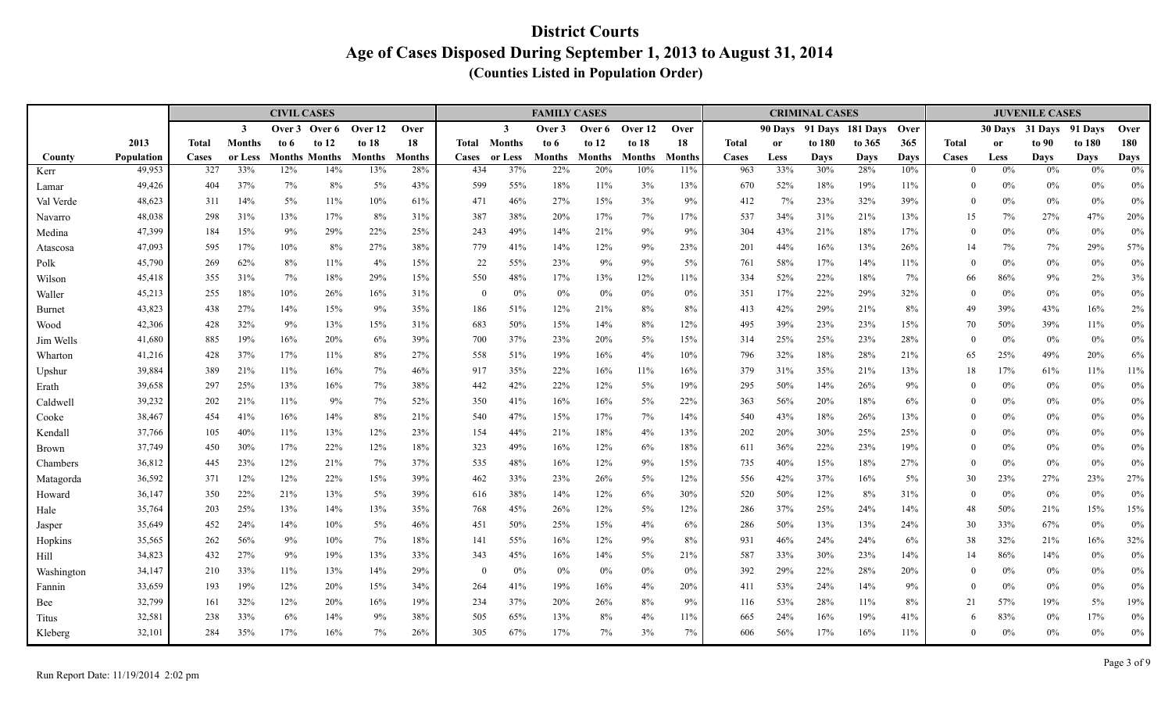|            |            |              |               | <b>CIVIL CASES</b> |                      |               |               |                |               | <b>FAMILY CASES</b> |               |               |               |              |             | <b>CRIMINAL CASES</b> |                  |      |              |               | <b>JUVENILE CASES</b> |             |        |
|------------|------------|--------------|---------------|--------------------|----------------------|---------------|---------------|----------------|---------------|---------------------|---------------|---------------|---------------|--------------|-------------|-----------------------|------------------|------|--------------|---------------|-----------------------|-------------|--------|
|            |            |              | $\mathbf{3}$  | Over 3             | Over 6               | Over 12       | Over          |                | $\mathbf{3}$  | Over 3              | Over 6        | Over 12       | Over          |              | 90 Days     |                       | 91 Days 181 Days | Over |              |               | 30 Days 31 Days       | 91 Davs     | Over   |
|            | 2013       | <b>Total</b> | <b>Months</b> | to 6               | to $12$              | to 18         | 18            | Total          | <b>Months</b> | to 6                | to $12$       | to $18$       | 18            | <b>Total</b> | <b>or</b>   | to 180                | to 365           | 365  | <b>Total</b> | <sub>or</sub> | to 90                 | to 180      | 180    |
| County     | Population | Cases        | or Less       |                    | <b>Months Months</b> | <b>Months</b> | <b>Months</b> | Cases          | or Less       | Months              | <b>Months</b> | <b>Months</b> | <b>Month:</b> | Cases        | <b>Less</b> | <b>Days</b>           | Days             | Days | Cases        | Less          | <b>Days</b>           | <b>Days</b> | Days   |
| Kerr       | 49,953     | 327          | 33%           | 12%                | 14%                  | 13%           | 28%           | 434            | 37%           | 22%                 | 20%           | 10%           | 11%           | 963          | 33%         | 30%                   | 28%              | 10%  | $\Omega$     | $0\%$         | $0\%$                 | 0%          | $0\%$  |
| Lamar      | 49,426     | 404          | 37%           | 7%                 | 8%                   | 5%            | 43%           | 599            | 55%           | 18%                 | 11%           | 3%            | 13%           | 670          | 52%         | 18%                   | 19%              | 11%  | $\theta$     | $0\%$         | $0\%$                 | 0%          | $0\%$  |
| Val Verde  | 48,623     | 311          | 14%           | $5\%$              | 11%                  | 10%           | 61%           | 471            | 46%           | 27%                 | 15%           | 3%            | 9%            | 412          | 7%          | 23%                   | 32%              | 39%  | $\theta$     | $0\%$         | $0\%$                 | 0%          | $0\%$  |
| Navarro    | 48,038     | 298          | 31%           | 13%                | 17%                  | 8%            | 31%           | 387            | 38%           | 20%                 | 17%           | 7%            | 17%           | 537          | 34%         | 31%                   | 21%              | 13%  | 15           | 7%            | 27%                   | 47%         | 20%    |
| Medina     | 47,399     | 184          | 15%           | 9%                 | 29%                  | 22%           | 25%           | 243            | 49%           | 14%                 | 21%           | 9%            | 9%            | 304          | 43%         | 21%                   | 18%              | 17%  | $\theta$     | 0%            | $0\%$                 | 0%          | $0\%$  |
| Atascosa   | 47,093     | 595          | 17%           | 10%                | $8\%$                | 27%           | 38%           | 779            | 41%           | 14%                 | 12%           | 9%            | 23%           | 201          | 44%         | 16%                   | 13%              | 26%  | 14           | 7%            | 7%                    | 29%         | 57%    |
| Polk       | 45,790     | 269          | 62%           | 8%                 | 11%                  | 4%            | 15%           | 22             | 55%           | 23%                 | 9%            | 9%            | $5\%$         | 761          | 58%         | 17%                   | 14%              | 11%  | $\theta$     | 0%            | $0\%$                 | $0\%$       | $0\%$  |
| Wilson     | 45,418     | 355          | 31%           | 7%                 | 18%                  | 29%           | 15%           | 550            | 48%           | 17%                 | 13%           | 12%           | 11%           | 334          | 52%         | 22%                   | 18%              | 7%   | 66           | 86%           | 9%                    | $2\%$       | $3\%$  |
| Waller     | 45,213     | 255          | 18%           | 10%                | 26%                  | 16%           | 31%           | $\overline{0}$ | 0%            | 0%                  | $0\%$         | 0%            | $0\%$         | 351          | 17%         | 22%                   | 29%              | 32%  | $\theta$     | $0\%$         | $0\%$                 | $0\%$       | $0\%$  |
| Burnet     | 43,823     | 438          | 27%           | 14%                | 15%                  | 9%            | 35%           | 186            | 51%           | 12%                 | 21%           | 8%            | 8%            | 413          | 42%         | 29%                   | 21%              | 8%   | 49           | 39%           | 43%                   | 16%         | $2\%$  |
| Wood       | 42,306     | 428          | 32%           | 9%                 | 13%                  | 15%           | 31%           | 683            | 50%           | 15%                 | 14%           | 8%            | 12%           | 495          | 39%         | 23%                   | 23%              | 15%  | 70           | 50%           | 39%                   | 11%         | $0\%$  |
| Jim Wells  | 41,680     | 885          | 19%           | 16%                | 20%                  | 6%            | 39%           | 700            | 37%           | 23%                 | 20%           | $5\%$         | 15%           | 314          | 25%         | 25%                   | 23%              | 28%  | $\theta$     | $0\%$         | $0\%$                 | $0\%$       | $0\%$  |
| Wharton    | 41,216     | 428          | 37%           | 17%                | $11\%$               | 8%            | 27%           | 558            | 51%           | 19%                 | 16%           | 4%            | 10%           | 796          | 32%         | 18%                   | 28%              | 21%  | 65           | 25%           | 49%                   | 20%         | $6\%$  |
| Upshur     | 39,884     | 389          | 21%           | 11%                | 16%                  | 7%            | 46%           | 917            | 35%           | 22%                 | 16%           | 11%           | 16%           | 379          | 31%         | 35%                   | 21%              | 13%  | 18           | 17%           | 61%                   | 11%         | $11\%$ |
| Erath      | 39,658     | 297          | 25%           | 13%                | 16%                  | 7%            | 38%           | 442            | 42%           | 22%                 | 12%           | 5%            | 19%           | 295          | 50%         | 14%                   | 26%              | 9%   | $\Omega$     | $0\%$         | $0\%$                 | 0%          | $0\%$  |
| Caldwell   | 39,232     | 202          | 21%           | 11%                | 9%                   | 7%            | 52%           | 350            | 41%           | 16%                 | 16%           | $5\%$         | 22%           | 363          | 56%         | 20%                   | 18%              | 6%   | $\theta$     | $0\%$         | $0\%$                 | $0\%$       | $0\%$  |
| Cooke      | 38,467     | 454          | 41%           | 16%                | 14%                  | 8%            | 21%           | 540            | 47%           | 15%                 | 17%           | 7%            | 14%           | 540          | 43%         | 18%                   | 26%              | 13%  | $\Omega$     | $0\%$         | $0\%$                 | $0\%$       | $0\%$  |
| Kendall    | 37,766     | 105          | 40%           | 11%                | 13%                  | 12%           | 23%           | 154            | 44%           | 21%                 | 18%           | 4%            | 13%           | 202          | 20%         | 30%                   | 25%              | 25%  | $\theta$     | 0%            | $0\%$                 | $0\%$       | $0\%$  |
| Brown      | 37,749     | 450          | 30%           | 17%                | 22%                  | 12%           | 18%           | 323            | 49%           | 16%                 | 12%           | 6%            | 18%           | 611          | 36%         | 22%                   | 23%              | 19%  | $\theta$     | 0%            | $0\%$                 | 0%          | $0\%$  |
| Chambers   | 36,812     | 445          | 23%           | 12%                | 21%                  | 7%            | 37%           | 535            | 48%           | 16%                 | 12%           | 9%            | 15%           | 735          | 40%         | 15%                   | 18%              | 27%  | $\theta$     | 0%            | $0\%$                 | $0\%$       | $0\%$  |
| Matagorda  | 36,592     | 371          | 12%           | 12%                | 22%                  | 15%           | 39%           | 462            | 33%           | 23%                 | 26%           | $5\%$         | 12%           | 556          | 42%         | 37%                   | 16%              | 5%   | 30           | 23%           | 27%                   | 23%         | 27%    |
| Howard     | 36,147     | 350          | 22%           | 21%                | 13%                  | 5%            | 39%           | 616            | 38%           | 14%                 | 12%           | 6%            | 30%           | 520          | 50%         | 12%                   | 8%               | 31%  | $\mathbf{0}$ | 0%            | $0\%$                 | 0%          | $0\%$  |
| Hale       | 35,764     | 203          | 25%           | 13%                | 14%                  | 13%           | 35%           | 768            | 45%           | 26%                 | 12%           | 5%            | 12%           | 286          | 37%         | 25%                   | 24%              | 14%  | 48           | 50%           | 21%                   | 15%         | 15%    |
| Jasper     | 35,649     | 452          | 24%           | 14%                | 10%                  | 5%            | 46%           | 451            | 50%           | 25%                 | 15%           | 4%            | 6%            | 286          | 50%         | 13%                   | 13%              | 24%  | 30           | 33%           | 67%                   | $0\%$       | $0\%$  |
| Hopkins    | 35,565     | 262          | 56%           | 9%                 | 10%                  | 7%            | 18%           | 141            | 55%           | 16%                 | 12%           | 9%            | 8%            | 931          | 46%         | 24%                   | 24%              | 6%   | 38           | 32%           | 21%                   | 16%         | $32\%$ |
| Hill       | 34,823     | 432          | 27%           | 9%                 | 19%                  | 13%           | 33%           | 343            | 45%           | 16%                 | 14%           | $5\%$         | 21%           | 587          | 33%         | 30%                   | 23%              | 14%  | 14           | 86%           | 14%                   | 0%          | $0\%$  |
| Washington | 34,147     | 210          | 33%           | 11%                | 13%                  | 14%           | 29%           | $\overline{0}$ | 0%            | 0%                  | $0\%$         | 0%            | 0%            | 392          | 29%         | 22%                   | 28%              | 20%  | $\theta$     | $0\%$         | $0\%$                 | $0\%$       | $0\%$  |
| Fannin     | 33,659     | 193          | 19%           | 12%                | 20%                  | 15%           | 34%           | 264            | 41%           | 19%                 | 16%           | 4%            | 20%           | 411          | 53%         | 24%                   | 14%              | 9%   | $\theta$     | 0%            | $0\%$                 | 0%          | $0\%$  |
| Bee        | 32,799     | 161          | 32%           | 12%                | 20%                  | 16%           | 19%           | 234            | 37%           | 20%                 | 26%           | 8%            | 9%            | 116          | 53%         | 28%                   | 11%              | 8%   | 21           | 57%           | 19%                   | $5\%$       | $19\%$ |
| Titus      | 32,581     | 238          | 33%           | 6%                 | 14%                  | 9%            | 38%           | 505            | 65%           | 13%                 | 8%            | 4%            | 11%           | 665          | 24%         | 16%                   | 19%              | 41%  | 6            | 83%           | $0\%$                 | 17%         | $0\%$  |
| Kleberg    | 32,101     | 284          | 35%           | 17%                | 16%                  | 7%            | 26%           | 305            | 67%           | 17%                 | 7%            | 3%            | 7%            | 606          | 56%         | 17%                   | 16%              | 11%  | $\Omega$     | 0%            | $0\%$                 | $0\%$       | $0\%$  |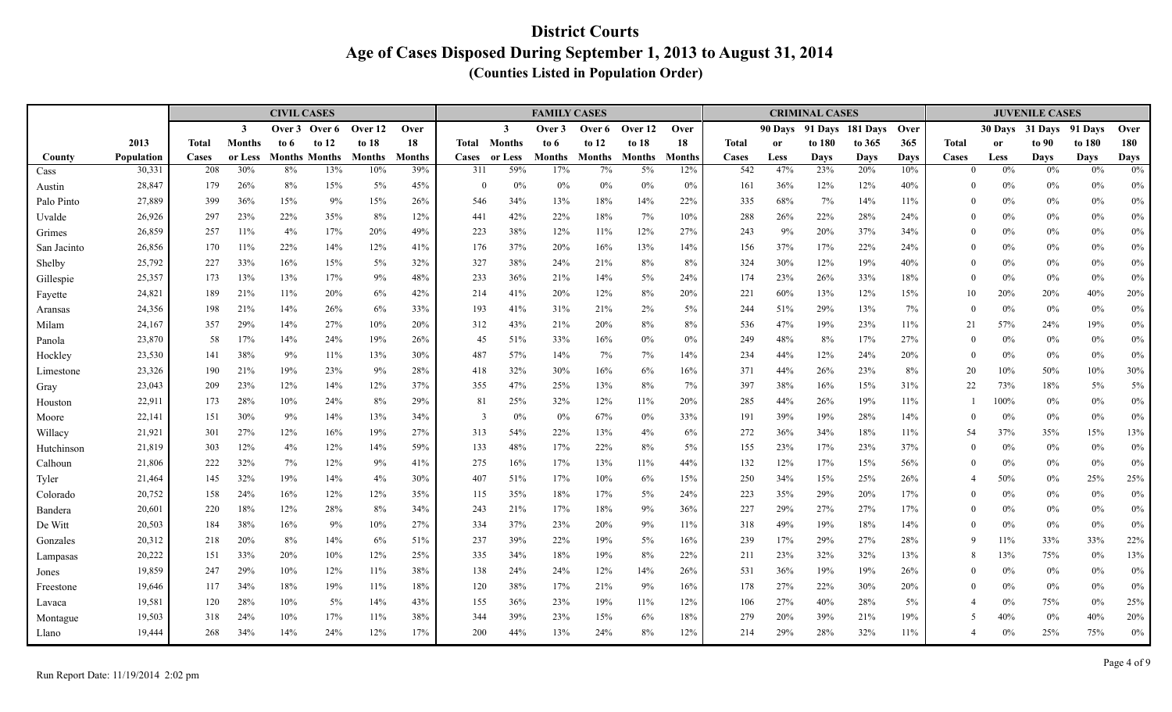|                      |                  |              |               | <b>CIVIL CASES</b> |                      |               |               |                 |                | <b>FAMILY CASES</b> |               |               |               |              |             | <b>CRIMINAL CASES</b> |                    |            |                      |                | <b>JUVENILE CASES</b> |             |                |
|----------------------|------------------|--------------|---------------|--------------------|----------------------|---------------|---------------|-----------------|----------------|---------------------|---------------|---------------|---------------|--------------|-------------|-----------------------|--------------------|------------|----------------------|----------------|-----------------------|-------------|----------------|
|                      |                  |              | $\mathbf{3}$  | Over 3             | Over 6               | Over 12       | Over          |                 | $\mathbf{3}$   | Over 3              | Over 6        | Over 12       | Over          |              | 90 Davs     |                       | 91 Days 181 Days   | Over       |                      | 30 Days        | 31 Days               | 91 Davs     | Over           |
|                      | 2013             | <b>Total</b> | <b>Months</b> | to 6               | to $12$              | to 18         | 18            | Total           | <b>Months</b>  | to 6                | to $12$       | to $18$       | 18            | <b>Total</b> | <b>or</b>   | to 180                | to 365             | 365        | <b>Total</b>         | <sub>or</sub>  | to 90                 | to 180      | 180            |
| County               | Population       | Cases        | or Less       |                    | <b>Months Months</b> | <b>Months</b> | <b>Months</b> | <b>Cases</b>    | or Less<br>59% | Months              | <b>Months</b> | <b>Months</b> | <b>Months</b> | Cases        | Less<br>47% | <b>Days</b><br>23%    | <b>Days</b><br>20% | Days       | Cases                | Less           | <b>Days</b><br>0%     | <b>Days</b> | <b>Days</b>    |
| Cass                 | 30,331           | 208          | 30%           | 8%                 | 13%                  | 10%           | 39%           | 311             | $0\%$          | 17%                 | 7%            | $5\%$         | 12%           | 542          |             |                       |                    | 10%        | $\Omega$             | $0\%$          |                       | 0%          | $0\%$          |
| Austin               | 28,847<br>27,889 | 179<br>399   | 26%<br>36%    | 8%<br>15%          | 15%<br>9%            | 5%<br>15%     | 45%<br>26%    | $\theta$<br>546 | 34%            | 0%<br>13%           | $0\%$<br>18%  | 0%<br>14%     | 0%<br>22%     | 161<br>335   | 36%<br>68%  | 12%<br>7%             | 12%<br>14%         | 40%<br>11% | $\Omega$<br>$\theta$ | $0\%$<br>$0\%$ | $0\%$<br>$0\%$        | 0%<br>$0\%$ | $0\%$          |
| Palo Pinto<br>Uvalde | 26,926           | 297          | 23%           | 22%                | 35%                  | 8%            | 12%           | 441             | 42%            | 22%                 | 18%           | 7%            | 10%           | 288          | 26%         | 22%                   | 28%                | 24%        | $\Omega$             | $0\%$          | $0\%$                 | 0%          | $0\%$<br>$0\%$ |
| Grimes               | 26,859           | 257          | 11%           | 4%                 | 17%                  | 20%           | 49%           | 223             | 38%            | 12%                 | 11%           | 12%           | 27%           | 243          | 9%          | 20%                   | 37%                | 34%        | $\theta$             | $0\%$          | $0\%$                 | $0\%$       | $0\%$          |
| San Jacinto          | 26,856           | 170          | 11%           | 22%                | 14%                  | 12%           | 41%           | 176             | 37%            | 20%                 | 16%           | 13%           | 14%           | 156          | 37%         | 17%                   | 22%                | 24%        | $\theta$             | 0%             | $0\%$                 | $0\%$       | $0\%$          |
| Shelby               | 25,792           | 227          | 33%           | 16%                | 15%                  | 5%            | 32%           | 327             | 38%            | 24%                 | 21%           | 8%            | 8%            | 324          | 30%         | 12%                   | 19%                | 40%        | $\Omega$             | $0\%$          | $0\%$                 | $0\%$       | $0\%$          |
| Gillespie            | 25,357           | 173          | 13%           | 13%                | 17%                  | 9%            | 48%           | 233             | 36%            | 21%                 | 14%           | $5\%$         | 24%           | 174          | 23%         | 26%                   | 33%                | 18%        | $\theta$             | 0%             | $0\%$                 | $0\%$       | $0\%$          |
| Fayette              | 24,821           | 189          | 21%           | 11%                | 20%                  | 6%            | 42%           | 214             | 41%            | 20%                 | 12%           | 8%            | 20%           | 221          | 60%         | 13%                   | 12%                | 15%        | 10                   | 20%            | 20%                   | 40%         | 20%            |
| Aransas              | 24,356           | 198          | 21%           | 14%                | 26%                  | 6%            | 33%           | 193             | 41%            | 31%                 | 21%           | 2%            | 5%            | 244          | 51%         | 29%                   | 13%                | 7%         | $\Omega$             | 0%             | $0\%$                 | 0%          | $0\%$          |
| Milam                | 24,167           | 357          | 29%           | 14%                | 27%                  | 10%           | 20%           | 312             | 43%            | 21%                 | 20%           | 8%            | 8%            | 536          | 47%         | 19%                   | 23%                | 11%        | 21                   | 57%            | 24%                   | 19%         | $0\%$          |
| Panola               | 23,870           | 58           | 17%           | 14%                | 24%                  | 19%           | 26%           | 45              | 51%            | 33%                 | 16%           | 0%            | $0\%$         | 249          | 48%         | 8%                    | 17%                | 27%        | $\theta$             | $0\%$          | $0\%$                 | $0\%$       | $0\%$          |
| Hockley              | 23,530           | 141          | 38%           | 9%                 | 11%                  | 13%           | 30%           | 487             | 57%            | 14%                 | 7%            | 7%            | 14%           | 234          | 44%         | 12%                   | 24%                | 20%        | $\theta$             | 0%             | $0\%$                 | $0\%$       | $0\%$          |
| Limestone            | 23,326           | 190          | 21%           | 19%                | 23%                  | 9%            | 28%           | 418             | 32%            | 30%                 | 16%           | 6%            | 16%           | 371          | 44%         | 26%                   | 23%                | 8%         | 20                   | 10%            | 50%                   | 10%         | 30%            |
| Gray                 | 23,043           | 209          | 23%           | 12%                | 14%                  | 12%           | 37%           | 355             | 47%            | 25%                 | 13%           | 8%            | 7%            | 397          | 38%         | 16%                   | 15%                | 31%        | 22                   | 73%            | 18%                   | 5%          | $5\%$          |
| Houston              | 22,911           | 173          | 28%           | 10%                | 24%                  | 8%            | 29%           | 81              | 25%            | 32%                 | 12%           | 11%           | 20%           | 285          | 44%         | 26%                   | 19%                | 11%        |                      | 100%           | $0\%$                 | $0\%$       | $0\%$          |
| Moore                | 22,141           | 151          | 30%           | 9%                 | 14%                  | 13%           | 34%           | $\overline{3}$  | $0\%$          | 0%                  | 67%           | $0\%$         | 33%           | 191          | 39%         | 19%                   | 28%                | 14%        | $\Omega$             | 0%             | $0\%$                 | $0\%$       | $0\%$          |
| Willacy              | 21,921           | 301          | 27%           | 12%                | 16%                  | 19%           | 27%           | 313             | 54%            | 22%                 | 13%           | 4%            | 6%            | 272          | 36%         | 34%                   | 18%                | 11%        | 54                   | 37%            | 35%                   | 15%         | 13%            |
| Hutchinson           | 21,819           | 303          | 12%           | 4%                 | 12%                  | 14%           | 59%           | 133             | 48%            | 17%                 | 22%           | 8%            | 5%            | 155          | 23%         | 17%                   | 23%                | 37%        | $\theta$             | $0\%$          | $0\%$                 | $0\%$       | $0\%$          |
| Calhoun              | 21,806           | 222          | 32%           | 7%                 | 12%                  | 9%            | 41%           | 275             | 16%            | 17%                 | 13%           | 11%           | 44%           | 132          | 12%         | 17%                   | 15%                | 56%        | $\Omega$             | 0%             | $0\%$                 | 0%          | 0%             |
| Tyler                | 21,464           | 145          | 32%           | 19%                | 14%                  | 4%            | 30%           | 407             | 51%            | 17%                 | 10%           | 6%            | 15%           | 250          | 34%         | 15%                   | 25%                | 26%        | $\overline{4}$       | 50%            | $0\%$                 | 25%         | 25%            |
| Colorado             | 20,752           | 158          | 24%           | 16%                | 12%                  | 12%           | 35%           | 115             | 35%            | 18%                 | 17%           | $5\%$         | 24%           | 223          | 35%         | 29%                   | 20%                | 17%        | $\theta$             | 0%             | $0\%$                 | $0\%$       | $0\%$          |
| Bandera              | 20,601           | 220          | 18%           | 12%                | 28%                  | 8%            | 34%           | 243             | 21%            | 17%                 | 18%           | 9%            | 36%           | 227          | 29%         | 27%                   | 27%                | 17%        | $\Omega$             | $0\%$          | $0\%$                 | 0%          | $0\%$          |
| De Witt              | 20,503           | 184          | 38%           | 16%                | 9%                   | 10%           | 27%           | 334             | 37%            | 23%                 | 20%           | 9%            | 11%           | 318          | 49%         | 19%                   | 18%                | 14%        | $\theta$             | $0\%$          | $0\%$                 | $0\%$       | $0\%$          |
| Gonzales             | 20,312           | 218          | 20%           | 8%                 | 14%                  | 6%            | 51%           | 237             | 39%            | 22%                 | 19%           | 5%            | 16%           | 239          | 17%         | 29%                   | 27%                | 28%        | 9                    | 11%            | 33%                   | 33%         | 22%            |
| Lampasas             | 20,222           | 151          | 33%           | 20%                | 10%                  | 12%           | 25%           | 335             | 34%            | 18%                 | 19%           | 8%            | 22%           | 211          | 23%         | 32%                   | 32%                | 13%        | 8                    | 13%            | 75%                   | $0\%$       | 13%            |
| Jones                | 19,859           | 247          | 29%           | 10%                | 12%                  | 11%           | 38%           | 138             | 24%            | 24%                 | 12%           | 14%           | 26%           | 531          | 36%         | 19%                   | 19%                | 26%        | $\Omega$             | $0\%$          | $0\%$                 | $0\%$       | $0\%$          |
| Freestone            | 19,646           | 117          | 34%           | 18%                | 19%                  | 11%           | 18%           | 120             | 38%            | 17%                 | 21%           | 9%            | 16%           | 178          | 27%         | 22%                   | 30%                | 20%        | $\Omega$             | 0%             | $0\%$                 | 0%          | $0\%$          |
| Lavaca               | 19,581           | 120          | 28%           | 10%                | $5\%$                | 14%           | 43%           | 155             | 36%            | 23%                 | 19%           | 11%           | 12%           | 106          | 27%         | 40%                   | 28%                | 5%         | 4                    | $0\%$          | 75%                   | $0\%$       | 25%            |
| Montague             | 19,503           | 318          | 24%           | 10%                | 17%                  | 11%           | 38%           | 344             | 39%            | 23%                 | 15%           | 6%            | 18%           | 279          | 20%         | 39%                   | 21%                | 19%        | 5                    | 40%            | 0%                    | 40%         | 20%            |
| Llano                | 19,444           | 268          | 34%           | 14%                | 24%                  | 12%           | 17%           | 200             | 44%            | 13%                 | 24%           | 8%            | 12%           | 214          | 29%         | 28%                   | 32%                | 11%        | $\overline{4}$       | $0\%$          | 25%                   | 75%         | $0\%$          |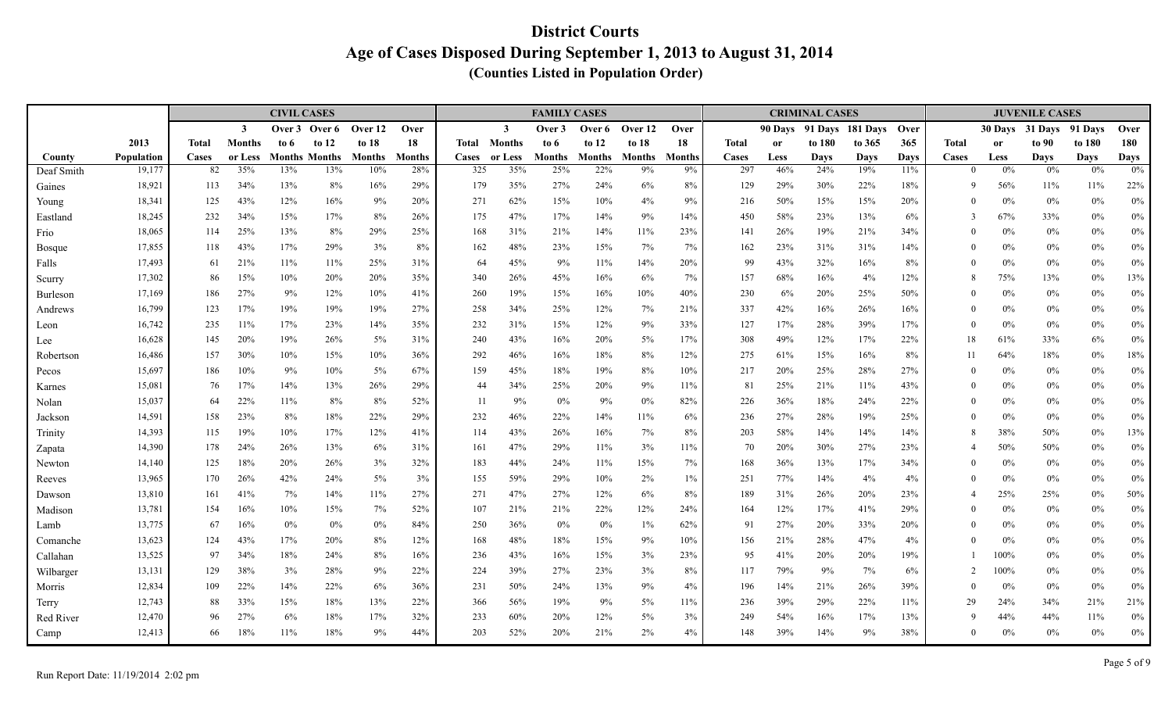|                   |                      |              |                | <b>CIVIL CASES</b> |                             |                      |                      |                     |                | <b>FAMILY CASES</b> |                      |                     |                     |              |             | <b>CRIMINAL CASES</b> |                    |                    |                   |               | <b>JUVENILE CASES</b> |                   |                   |
|-------------------|----------------------|--------------|----------------|--------------------|-----------------------------|----------------------|----------------------|---------------------|----------------|---------------------|----------------------|---------------------|---------------------|--------------|-------------|-----------------------|--------------------|--------------------|-------------------|---------------|-----------------------|-------------------|-------------------|
|                   |                      |              | $\mathbf{3}$   | Over 3             | Over 6                      | Over 12              | Over                 |                     | $\mathbf{3}$   | Over 3              | Over 6               | Over 12             | Over                |              | 90 Days     |                       | 91 Days 181 Days   | Over               |                   | 30 Days       | 31 Days               | 91 Davs           | Over              |
|                   | 2013                 | <b>Total</b> | <b>Months</b>  | to 6               | to $12$                     | to 18                | 18                   | Total               | Months         | to 6                | to $12$              | to $18$             | 18                  | <b>Total</b> | <b>or</b>   | to 180                | to 365             | 365                | <b>Total</b>      | <sub>or</sub> | to 90                 | to 180            | 180               |
| County            | Population<br>19,177 | Cases<br>82  | or Less<br>35% | 13%                | <b>Months Months</b><br>13% | <b>Months</b><br>10% | <b>Months</b><br>28% | <b>Cases</b><br>325 | or Less<br>35% | Months<br>25%       | <b>Months</b><br>22% | <b>Months</b><br>9% | <b>Months</b><br>9% | Cases<br>297 | Less<br>46% | <b>Days</b><br>24%    | <b>Days</b><br>19% | <b>Days</b><br>11% | Cases<br>$\Omega$ | Less<br>0%    | <b>Days</b><br>0%     | <b>Days</b><br>0% | <b>Days</b><br>0% |
| Deaf Smith        | 18,921               |              | 34%            | 13%                | $8\%$                       | 16%                  | 29%                  | 179                 | 35%            | 27%                 | 24%                  | 6%                  | $8\%$               | 129          | 29%         | 30%                   |                    |                    | 9                 | 56%           |                       | $11\%$            |                   |
| Gaines            | 18,341               | 113<br>125   | 43%            | 12%                | 16%                         | 9%                   | 20%                  | 271                 | 62%            | 15%                 | 10%                  | 4%                  | 9%                  | 216          | 50%         | 15%                   | 22%<br>15%         | 18%<br>20%         | $\theta$          | 0%            | 11%<br>$0\%$          | $0\%$             | 22%<br>$0\%$      |
| Young<br>Eastland | 18,245               | 232          | 34%            | 15%                | 17%                         | 8%                   | 26%                  | 175                 | 47%            | 17%                 | 14%                  | 9%                  | 14%                 | 450          | 58%         | 23%                   | 13%                | 6%                 | 3                 | 67%           | 33%                   | $0\%$             | $0\%$             |
| Frio              | 18,065               | 114          | 25%            | 13%                | $8\%$                       | 29%                  | 25%                  | 168                 | 31%            | 21%                 | 14%                  | 11%                 | 23%                 | 141          | 26%         | 19%                   | 21%                | 34%                | $\theta$          | $0\%$         | $0\%$                 | $0\%$             | $0\%$             |
| Bosque            | 17,855               | 118          | 43%            | 17%                | 29%                         | 3%                   | 8%                   | 162                 | 48%            | 23%                 | 15%                  | 7%                  | 7%                  | 162          | 23%         | 31%                   | 31%                | 14%                | $\theta$          | 0%            | $0\%$                 | 0%                | $0\%$             |
| Falls             | 17,493               | 61           | 21%            | 11%                | 11%                         | 25%                  | 31%                  | 64                  | 45%            | 9%                  | 11%                  | 14%                 | 20%                 | 99           | 43%         | 32%                   | 16%                | 8%                 | $\theta$          | 0%            | $0\%$                 | $0\%$             | $0\%$             |
| Scurry            | 17,302               | 86           | 15%            | 10%                | 20%                         | 20%                  | 35%                  | 340                 | 26%            | 45%                 | 16%                  | 6%                  | 7%                  | 157          | 68%         | 16%                   | 4%                 | 12%                | 8                 | 75%           | 13%                   | $0\%$             | $13\%$            |
| Burleson          | 17,169               | 186          | 27%            | 9%                 | 12%                         | 10%                  | 41%                  | 260                 | 19%            | 15%                 | 16%                  | 10%                 | 40%                 | 230          | 6%          | 20%                   | 25%                | 50%                | $\Omega$          | $0\%$         | $0\%$                 | $0\%$             | $0\%$             |
| Andrews           | 16,799               | 123          | 17%            | 19%                | 19%                         | 19%                  | 27%                  | 258                 | 34%            | 25%                 | 12%                  | 7%                  | 21%                 | 337          | 42%         | 16%                   | 26%                | 16%                | $\theta$          | $0\%$         | $0\%$                 | $0\%$             | $0\%$             |
| Leon              | 16,742               | 235          | 11%            | 17%                | 23%                         | 14%                  | 35%                  | 232                 | 31%            | 15%                 | 12%                  | 9%                  | 33%                 | 127          | 17%         | 28%                   | 39%                | 17%                | $\theta$          | 0%            | $0\%$                 | 0%                | $0\%$             |
| Lee               | 16,628               | 145          | 20%            | 19%                | 26%                         | 5%                   | 31%                  | 240                 | 43%            | 16%                 | 20%                  | $5\%$               | 17%                 | 308          | 49%         | 12%                   | 17%                | 22%                | 18                | 61%           | 33%                   | 6%                | $0\%$             |
| Robertson         | 16,486               | 157          | 30%            | 10%                | 15%                         | 10%                  | 36%                  | 292                 | 46%            | 16%                 | 18%                  | 8%                  | 12%                 | 275          | 61%         | 15%                   | 16%                | 8%                 | 11                | 64%           | 18%                   | $0\%$             | $18\%$            |
| Pecos             | 15,697               | 186          | 10%            | 9%                 | 10%                         | 5%                   | 67%                  | 159                 | 45%            | 18%                 | 19%                  | 8%                  | 10%                 | 217          | 20%         | 25%                   | 28%                | 27%                | $\Omega$          | $0\%$         | $0\%$                 | $0\%$             | $0\%$             |
| Karnes            | 15,081               | 76           | 17%            | 14%                | 13%                         | 26%                  | 29%                  | 44                  | 34%            | 25%                 | 20%                  | 9%                  | 11%                 | 81           | 25%         | 21%                   | 11%                | 43%                | $\theta$          | $0\%$         | $0\%$                 | $0\%$             | $0\%$             |
| Nolan             | 15,037               | 64           | 22%            | 11%                | 8%                          | 8%                   | 52%                  | 11                  | 9%             | 0%                  | 9%                   | 0%                  | 82%                 | 226          | 36%         | 18%                   | 24%                | 22%                | $\theta$          | 0%            | $0\%$                 | $0\%$             | $0\%$             |
| Jackson           | 14,591               | 158          | 23%            | 8%                 | 18%                         | 22%                  | 29%                  | 232                 | 46%            | 22%                 | 14%                  | 11%                 | 6%                  | 236          | 27%         | 28%                   | 19%                | 25%                | $\Omega$          | $0\%$         | $0\%$                 | $0\%$             | $0\%$             |
| Trinity           | 14,393               | 115          | 19%            | 10%                | 17%                         | 12%                  | 41%                  | 114                 | 43%            | 26%                 | 16%                  | 7%                  | 8%                  | 203          | 58%         | 14%                   | 14%                | 14%                | 8                 | 38%           | 50%                   | $0\%$             | 13%               |
| Zapata            | 14,390               | 178          | 24%            | 26%                | 13%                         | 6%                   | 31%                  | 161                 | 47%            | 29%                 | 11%                  | 3%                  | 11%                 | 70           | 20%         | 30%                   | 27%                | 23%                | $\overline{4}$    | 50%           | $50\%$                | 0%                | $0\%$             |
| Newton            | 14,140               | 125          | 18%            | 20%                | 26%                         | 3%                   | 32%                  | 183                 | 44%            | 24%                 | 11%                  | 15%                 | 7%                  | 168          | 36%         | 13%                   | 17%                | 34%                | $\theta$          | 0%            | $0\%$                 | $0\%$             | $0\%$             |
| Reeves            | 13,965               | 170          | 26%            | 42%                | 24%                         | 5%                   | 3%                   | 155                 | 59%            | 29%                 | 10%                  | $2\%$               | $1\%$               | 251          | 77%         | 14%                   | 4%                 | 4%                 | $\Omega$          | 0%            | $0\%$                 | $0\%$             | $0\%$             |
| Dawson            | 13,810               | 161          | 41%            | 7%                 | 14%                         | 11%                  | 27%                  | 271                 | 47%            | 27%                 | 12%                  | 6%                  | 8%                  | 189          | 31%         | 26%                   | 20%                | 23%                | $\Delta$          | 25%           | 25%                   | $0\%$             | 50%               |
| Madison           | 13,781               | 154          | 16%            | 10%                | 15%                         | 7%                   | 52%                  | 107                 | 21%            | 21%                 | 22%                  | 12%                 | 24%                 | 164          | 12%         | 17%                   | 41%                | 29%                | $\Omega$          | $0\%$         | $0\%$                 | 0%                | 0%                |
| Lamb              | 13,775               | 67           | 16%            | $0\%$              | $0\%$                       | 0%                   | 84%                  | 250                 | 36%            | 0%                  | $0\%$                | $1\%$               | 62%                 | 91           | 27%         | 20%                   | 33%                | 20%                | $\theta$          | $0\%$         | $0\%$                 | $0\%$             | $0\%$             |
| Comanche          | 13,623               | 124          | 43%            | 17%                | 20%                         | 8%                   | 12%                  | 168                 | 48%            | 18%                 | 15%                  | 9%                  | 10%                 | 156          | 21%         | 28%                   | 47%                | 4%                 | $\Omega$          | 0%            | $0\%$                 | $0\%$             | $0\%$             |
| Callahan          | 13,525               | 97           | 34%            | 18%                | 24%                         | 8%                   | 16%                  | 236                 | 43%            | 16%                 | 15%                  | 3%                  | 23%                 | 95           | 41%         | 20%                   | 20%                | 19%                |                   | 100%          | $0\%$                 | $0\%$             | $0\%$             |
| Wilbarger         | 13,131               | 129          | 38%            | 3%                 | 28%                         | 9%                   | 22%                  | 224                 | 39%            | 27%                 | 23%                  | 3%                  | 8%                  | 117          | 79%         | 9%                    | 7%                 | 6%                 | $\overline{2}$    | 100%          | $0\%$                 | $0\%$             | $0\%$             |
| Morris            | 12,834               | 109          | 22%            | 14%                | 22%                         | 6%                   | 36%                  | 231                 | 50%            | 24%                 | 13%                  | 9%                  | 4%                  | 196          | 14%         | 21%                   | 26%                | 39%                | $\theta$          | 0%            | $0\%$                 | $0\%$             | $0\%$             |
| Terry             | 12,743               | 88           | 33%            | 15%                | 18%                         | 13%                  | 22%                  | 366                 | 56%            | 19%                 | 9%                   | $5\%$               | 11%                 | 236          | 39%         | 29%                   | 22%                | 11%                | 29                | 24%           | 34%                   | 21%               | 21%               |
| Red River         | 12,470               | 96           | 27%            | 6%                 | 18%                         | 17%                  | 32%                  | 233                 | 60%            | 20%                 | 12%                  | $5\%$               | 3%                  | 249          | 54%         | 16%                   | 17%                | 13%                | 9                 | 44%           | 44%                   | 11%               | $0\%$             |
| Camp              | 12,413               | 66           | 18%            | 11%                | 18%                         | 9%                   | 44%                  | 203                 | 52%            | 20%                 | 21%                  | 2%                  | 4%                  | 148          | 39%         | 14%                   | 9%                 | 38%                | $\Omega$          | 0%            | $0\%$                 | $0\%$             | $0\%$             |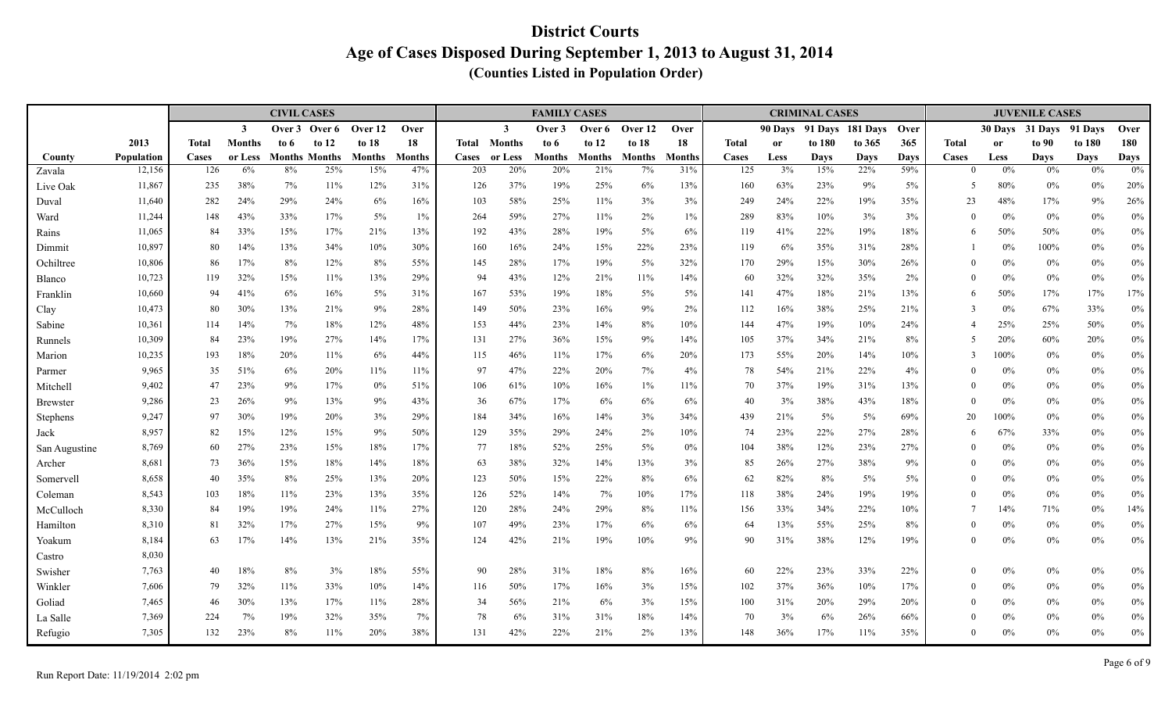|               |                  |              |               | <b>CIVIL CASES</b> |                      |               |               |            |                | <b>FAMILY CASES</b> |               |               |               |              |            | <b>CRIMINAL CASES</b> |                  |           |                   |               | <b>JUVENILE CASES</b> |                   |            |
|---------------|------------------|--------------|---------------|--------------------|----------------------|---------------|---------------|------------|----------------|---------------------|---------------|---------------|---------------|--------------|------------|-----------------------|------------------|-----------|-------------------|---------------|-----------------------|-------------------|------------|
|               |                  |              | $\mathbf{3}$  | Over 3             | Over 6               | Over 12       | Over          |            | $\mathbf{3}$   | Over 3              | Over 6        | Over 12       | Over          |              | 90 Days    |                       | 91 Days 181 Days | Over      |                   |               | 30 Days 31 Days       | 91 Davs           | Over       |
|               | 2013             | <b>Total</b> | <b>Months</b> | to 6               | to $12$              | to $18$       | 18            | Total      | <b>Months</b>  | to 6                | to $12$       | to $18$       | 18            | <b>Total</b> | <b>or</b>  | to 180                | to 365           | 365       | <b>Total</b>      | <sub>or</sub> | to 90                 | to 180            | 180        |
| County        | Population       | Cases        | or Less       |                    | <b>Months Months</b> | <b>Months</b> | <b>Months</b> | Cases      | or Less<br>20% | Months<br>20%       | <b>Months</b> | <b>Months</b> | <b>Months</b> | Cases        | Less<br>3% | <b>Days</b><br>15%    | Days<br>22%      | Days      | Cases<br>$\theta$ | Less<br>0%    | <b>Days</b><br>0%     | <b>Days</b><br>0% | Days       |
| Zavala        | 12,156           | 126          | 6%            | 8%                 | 25%                  | 15%           | 47%           | 203        |                |                     | 21%           | 7%            | 31%           | 125          |            |                       |                  | 59%       |                   |               |                       |                   | 0%         |
| Live Oak      | 11,867           | 235<br>282   | 38%<br>24%    | 7%<br>29%          | 11%<br>24%           | 12%<br>6%     | 31%<br>16%    | 126<br>103 | 37%<br>58%     | 19%<br>25%          | 25%<br>11%    | 6%<br>3%      | 13%<br>3%     | 160<br>249   | 63%<br>24% | 23%<br>22%            | 9%<br>19%        | 5%<br>35% | 5<br>23           | 80%<br>48%    | $0\%$<br>17%          | $0\%$<br>9%       | 20%<br>26% |
| Duval<br>Ward | 11,640<br>11,244 | 148          | 43%           | 33%                | 17%                  | 5%            | $1\%$         | 264        | 59%            | 27%                 | 11%           | 2%            | $1\%$         | 289          | 83%        | 10%                   | 3%               | 3%        | $\theta$          | 0%            | $0\%$                 | $0\%$             | $0\%$      |
| Rains         | 11,065           | 84           | 33%           | 15%                | 17%                  | 21%           | 13%           | 192        | 43%            | 28%                 | 19%           | 5%            | 6%            | 119          | 41%        | 22%                   | 19%              | 18%       | 6                 | 50%           | 50%                   | 0%                | $0\%$      |
| Dimmit        | 10,897           | 80           | 14%           | 13%                | 34%                  | 10%           | 30%           | 160        | 16%            | 24%                 | 15%           | 22%           | 23%           | 119          | 6%         | 35%                   | 31%              | 28%       |                   | 0%            | 100%                  | $0\%$             | $0\%$      |
| Ochiltree     | 10,806           | 86           | 17%           | 8%                 | 12%                  | 8%            | 55%           | 145        | 28%            | 17%                 | 19%           | $5\%$         | 32%           | 170          | 29%        | 15%                   | 30%              | 26%       | $\theta$          | $0\%$         | $0\%$                 | 0%                | $0\%$      |
| Blanco        | 10,723           | 119          | 32%           | 15%                | 11%                  | 13%           | 29%           | 94         | 43%            | 12%                 | 21%           | 11%           | 14%           | 60           | 32%        | 32%                   | 35%              | 2%        | $\theta$          | 0%            | $0\%$                 | 0%                | $0\%$      |
| Franklin      | 10,660           | 94           | 41%           | 6%                 | 16%                  | 5%            | 31%           | 167        | 53%            | 19%                 | 18%           | $5\%$         | 5%            | 141          | 47%        | 18%                   | 21%              | 13%       | 6                 | 50%           | 17%                   | 17%               | 17%        |
| Clay          | 10,473           | 80           | 30%           | 13%                | 21%                  | 9%            | 28%           | 149        | 50%            | 23%                 | 16%           | 9%            | 2%            | 112          | 16%        | 38%                   | 25%              | 21%       | 3                 | 0%            | 67%                   | 33%               | $0\%$      |
| Sabine        | 10,361           | 114          | 14%           | 7%                 | 18%                  | 12%           | 48%           | 153        | 44%            | 23%                 | 14%           | 8%            | 10%           | 144          | 47%        | 19%                   | 10%              | 24%       | $\overline{4}$    | 25%           | 25%                   | 50%               | $0\%$      |
| Runnels       | 10,309           | 84           | 23%           | 19%                | 27%                  | 14%           | 17%           | 131        | 27%            | 36%                 | 15%           | 9%            | 14%           | 105          | 37%        | 34%                   | 21%              | 8%        | 5                 | 20%           | 60%                   | 20%               | $0\%$      |
| Marion        | 10,235           | 193          | 18%           | 20%                | 11%                  | 6%            | 44%           | 115        | 46%            | 11%                 | 17%           | 6%            | 20%           | 173          | 55%        | 20%                   | 14%              | 10%       | 3                 | 100%          | $0\%$                 | $0\%$             | $0\%$      |
| Parmer        | 9,965            | 35           | 51%           | $6\%$              | 20%                  | 11%           | 11%           | 97         | 47%            | 22%                 | 20%           | 7%            | 4%            | 78           | 54%        | 21%                   | 22%              | 4%        | $\theta$          | 0%            | $0\%$                 | 0%                | $0\%$      |
| Mitchell      | 9,402            | 47           | 23%           | 9%                 | 17%                  | 0%            | 51%           | 106        | 61%            | 10%                 | 16%           | $1\%$         | 11%           | 70           | 37%        | 19%                   | 31%              | 13%       | $\theta$          | 0%            | $0\%$                 | $0\%$             | $0\%$      |
| Brewster      | 9,286            | 23           | 26%           | 9%                 | 13%                  | 9%            | 43%           | 36         | 67%            | 17%                 | 6%            | 6%            | 6%            | 40           | 3%         | 38%                   | 43%              | 18%       | $\theta$          | 0%            | $0\%$                 | 0%                | $0\%$      |
| Stephens      | 9,247            | 97           | 30%           | 19%                | 20%                  | 3%            | 29%           | 184        | 34%            | 16%                 | 14%           | 3%            | 34%           | 439          | 21%        | 5%                    | $5\%$            | 69%       | 20                | 100%          | $0\%$                 | $0\%$             | $0\%$      |
| Jack          | 8,957            | 82           | 15%           | 12%                | 15%                  | 9%            | 50%           | 129        | 35%            | 29%                 | 24%           | 2%            | 10%           | 74           | 23%        | 22%                   | 27%              | 28%       | 6                 | 67%           | 33%                   | $0\%$             | $0\%$      |
| San Augustine | 8,769            | 60           | 27%           | 23%                | 15%                  | 18%           | 17%           | 77         | 18%            | 52%                 | 25%           | $5\%$         | 0%            | 104          | 38%        | 12%                   | 23%              | 27%       | $\theta$          | 0%            | $0\%$                 | $0\%$             | $0\%$      |
| Archer        | 8,681            | 73           | 36%           | 15%                | 18%                  | 14%           | 18%           | 63         | 38%            | 32%                 | 14%           | 13%           | 3%            | 85           | 26%        | 27%                   | 38%              | 9%        | $\theta$          | 0%            | $0\%$                 | 0%                | $0\%$      |
| Somervell     | 8,658            | 40           | 35%           | 8%                 | 25%                  | 13%           | 20%           | 123        | 50%            | 15%                 | 22%           | 8%            | 6%            | 62           | 82%        | 8%                    | 5%               | 5%        | $\boldsymbol{0}$  | 0%            | $0\%$                 | $0\%$             | $0\%$      |
| Coleman       | 8,543            | 103          | 18%           | 11%                | 23%                  | 13%           | 35%           | 126        | 52%            | 14%                 | 7%            | 10%           | 17%           | 118          | 38%        | 24%                   | 19%              | 19%       | $\Omega$          | 0%            | $0\%$                 | $0\%$             | $0\%$      |
| McCulloch     | 8,330            | 84           | 19%           | 19%                | 24%                  | 11%           | 27%           | 120        | 28%            | 24%                 | 29%           | 8%            | 11%           | 156          | 33%        | 34%                   | 22%              | 10%       |                   | 14%           | 71%                   | $0\%$             | $14\%$     |
| Hamilton      | 8,310            | 81           | 32%           | 17%                | 27%                  | 15%           | 9%            | 107        | 49%            | 23%                 | 17%           | 6%            | 6%            | 64           | 13%        | 55%                   | 25%              | 8%        | $\theta$          | $0\%$         | $0\%$                 | $0\%$             | $0\%$      |
| Yoakum        | 8,184            | 63           | 17%           | 14%                | 13%                  | 21%           | 35%           | 124        | 42%            | 21%                 | 19%           | 10%           | 9%            | 90           | 31%        | 38%                   | 12%              | 19%       | $\mathbf{0}$      | $0\%$         | $0\%$                 | $0\%$             | $0\%$      |
| Castro        | 8,030            |              |               |                    |                      |               |               |            |                |                     |               |               |               |              |            |                       |                  |           |                   |               |                       |                   |            |
| Swisher       | 7,763            | 40           | 18%           | $8\%$              | 3%                   | 18%           | 55%           | 90         | 28%            | 31%                 | 18%           | 8%            | 16%           | 60           | 22%        | 23%                   | 33%              | 22%       | $\mathbf{0}$      | $0\%$         | $0\%$                 | $0\%$             | $0\%$      |
| Winkler       | 7,606            | 79           | 32%           | 11%                | 33%                  | 10%           | 14%           | 116        | 50%            | 17%                 | 16%           | 3%            | 15%           | 102          | 37%        | 36%                   | 10%              | 17%       | $\theta$          | $0\%$         | $0\%$                 | 0%                | $0\%$      |
| Goliad        | 7,465            | 46           | 30%           | 13%                | 17%                  | 11%           | 28%           | 34         | 56%            | 21%                 | 6%            | 3%            | 15%           | 100          | 31%        | 20%                   | 29%              | 20%       | $\theta$          | $0\%$         | $0\%$                 | $0\%$             | $0\%$      |
| La Salle      | 7,369            | 224          | 7%            | 19%                | 32%                  | 35%           | 7%            | 78         | 6%             | 31%                 | 31%           | 18%           | 14%           | 70           | 3%         | 6%                    | 26%              | 66%       | $\theta$          | $0\%$         | $0\%$                 | $0\%$             | $0\%$      |
| Refugio       | 7,305            | 132          | 23%           | 8%                 | 11%                  | 20%           | 38%           | 131        | 42%            | 22%                 | 21%           | 2%            | 13%           | 148          | 36%        | 17%                   | 11%              | 35%       | $\Omega$          | $0\%$         | $0\%$                 | $0\%$             | $0\%$      |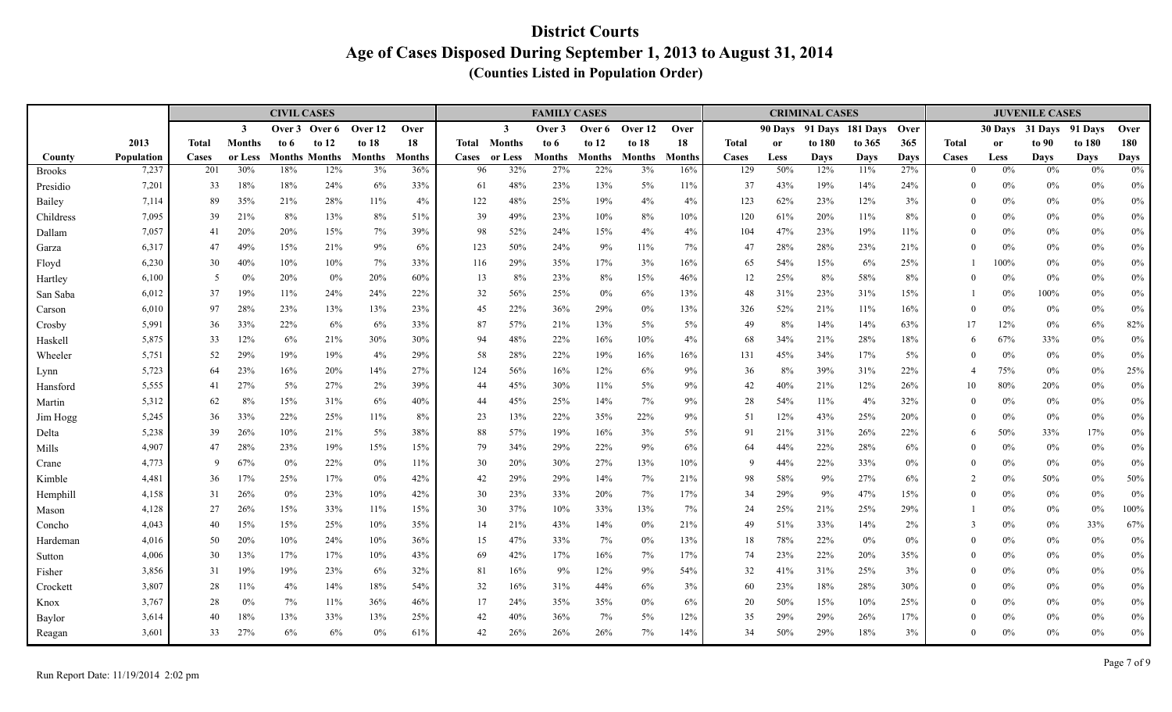|                     |                     |              |                | <b>CIVIL CASES</b> |                             |                     |                      |          |                | <b>FAMILY CASES</b> |                      |                     |               |              |             | <b>CRIMINAL CASES</b> |                    |                    |                   |               | <b>JUVENILE CASES</b> |                   |                   |
|---------------------|---------------------|--------------|----------------|--------------------|-----------------------------|---------------------|----------------------|----------|----------------|---------------------|----------------------|---------------------|---------------|--------------|-------------|-----------------------|--------------------|--------------------|-------------------|---------------|-----------------------|-------------------|-------------------|
|                     |                     |              | $\mathbf{3}$   | Over 3             | Over 6                      | Over 12             | Over                 |          | $\mathbf{3}$   | Over 3              | Over 6               | Over 12             | Over          |              | 90 Days     |                       | 91 Days 181 Days   | Over               |                   |               | 30 Days 31 Days       | 91 Davs           | Over              |
|                     | 2013                | <b>Total</b> | <b>Months</b>  | to 6               | to $12$                     | to $18$             | 18                   | Total    | Months         | to 6                | to $12$              | to $18$             | 18            | <b>Total</b> | <b>or</b>   | to 180                | to 365             | 365                | <b>Total</b>      | <sub>or</sub> | to 90                 | to 180            | 180               |
| County              | Population<br>7,237 | Cases        | or Less<br>30% | 18%                | <b>Months Months</b><br>12% | <b>Months</b><br>3% | <b>Months</b><br>36% | Cases    | or Less<br>32% | Months<br>27%       | <b>Months</b><br>22% | <b>Months</b><br>3% | <b>Months</b> | Cases<br>129 | Less<br>50% | <b>Days</b><br>12%    | <b>Days</b><br>11% | <b>Days</b><br>27% | Cases<br>$\Omega$ | Less<br>0%    | <b>Days</b><br>0%     | <b>Days</b><br>0% | <b>Days</b><br>0% |
| Brooks              |                     | 201<br>33    | 18%            | 18%                | 24%                         | 6%                  |                      | 96<br>61 | 48%            | 23%                 | 13%                  | 5%                  | 16%           | 37           | 43%         | 19%                   | 14%                |                    | $\theta$          | $0\%$         |                       |                   |                   |
| Presidio            | 7,201<br>7,114      | 89           | 35%            | 21%                | 28%                         | 11%                 | 33%<br>4%            | 122      | 48%            | 25%                 | 19%                  | 4%                  | 11%<br>4%     | 123          | 62%         | 23%                   | 12%                | 24%<br>3%          | $\theta$          | $0\%$         | $0\%$<br>$0\%$        | 0%<br>$0\%$       | $0\%$<br>$0\%$    |
| Bailey<br>Childress | 7,095               | 39           | 21%            | 8%                 | 13%                         | 8%                  | 51%                  | 39       | 49%            | 23%                 | 10%                  | 8%                  | 10%           | 120          | 61%         | 20%                   | 11%                | 8%                 | $\theta$          | $0\%$         | $0\%$                 | $0\%$             | $0\%$             |
| Dallam              | 7,057               | 41           | 20%            | 20%                | 15%                         | 7%                  | 39%                  | 98       | 52%            | 24%                 | 15%                  | 4%                  | 4%            | 104          | 47%         | 23%                   | 19%                | 11%                | $\theta$          | 0%            | $0\%$                 | $0\%$             | $0\%$             |
| Garza               | 6,317               | 47           | 49%            | 15%                | 21%                         | 9%                  | 6%                   | 123      | 50%            | 24%                 | 9%                   | 11%                 | 7%            | 47           | 28%         | 28%                   | 23%                | 21%                | $\Omega$          | 0%            | $0\%$                 | 0%                | $0\%$             |
| Floyd               | 6,230               | 30           | 40%            | 10%                | 10%                         | 7%                  | 33%                  | 116      | 29%            | 35%                 | 17%                  | 3%                  | 16%           | 65           | 54%         | 15%                   | 6%                 | 25%                |                   | 100%          | $0\%$                 | $0\%$             | $0\%$             |
| Hartley             | 6,100               | -5           | 0%             | 20%                | $0\%$                       | 20%                 | 60%                  | 13       | 8%             | 23%                 | 8%                   | 15%                 | 46%           | 12           | 25%         | 8%                    | 58%                | 8%                 | $\theta$          | 0%            | $0\%$                 | $0\%$             | $0\%$             |
| San Saba            | 6,012               | 37           | 19%            | 11%                | 24%                         | 24%                 | 22%                  | 32       | 56%            | 25%                 | $0\%$                | 6%                  | 13%           | 48           | 31%         | 23%                   | 31%                | 15%                |                   | $0\%$         | 100%                  | $0\%$             | $0\%$             |
| Carson              | 6,010               | 97           | 28%            | 23%                | 13%                         | 13%                 | 23%                  | 45       | 22%            | 36%                 | 29%                  | 0%                  | 13%           | 326          | 52%         | 21%                   | 11%                | 16%                | $\theta$          | 0%            | $0\%$                 | $0\%$             | $0\%$             |
| Crosby              | 5,991               | 36           | 33%            | 22%                | 6%                          | 6%                  | 33%                  | 87       | 57%            | 21%                 | 13%                  | 5%                  | 5%            | 49           | 8%          | 14%                   | 14%                | 63%                | 17                | 12%           | $0\%$                 | 6%                | 82%               |
| Haskell             | 5,875               | 33           | 12%            | 6%                 | 21%                         | 30%                 | 30%                  | 94       | 48%            | 22%                 | 16%                  | 10%                 | 4%            | 68           | 34%         | 21%                   | 28%                | 18%                | 6                 | 67%           | 33%                   | $0\%$             | $0\%$             |
| Wheeler             | 5,751               | 52           | 29%            | 19%                | 19%                         | 4%                  | 29%                  | 58       | 28%            | 22%                 | 19%                  | 16%                 | 16%           | 131          | 45%         | 34%                   | 17%                | $5\%$              | $\Omega$          | $0\%$         | $0\%$                 | $0\%$             | $0\%$             |
| Lynn                | 5,723               | 64           | 23%            | 16%                | 20%                         | 14%                 | 27%                  | 124      | 56%            | 16%                 | 12%                  | 6%                  | 9%            | 36           | $8\%$       | 39%                   | 31%                | 22%                | $\Delta$          | 75%           | $0\%$                 | $0\%$             | 25%               |
| Hansford            | 5,555               | 41           | 27%            | $5\%$              | 27%                         | 2%                  | 39%                  | 44       | 45%            | 30%                 | 11%                  | $5\%$               | 9%            | 42           | 40%         | 21%                   | 12%                | 26%                | 10                | 80%           | 20%                   | 0%                | $0\%$             |
| Martin              | 5,312               | 62           | 8%             | 15%                | 31%                         | 6%                  | 40%                  | 44       | 45%            | 25%                 | 14%                  | 7%                  | 9%            | 28           | 54%         | 11%                   | 4%                 | 32%                | $\Omega$          | $0\%$         | $0\%$                 | 0%                | $0\%$             |
| Jim Hogg            | 5,245               | 36           | 33%            | 22%                | 25%                         | 11%                 | 8%                   | 23       | 13%            | 22%                 | 35%                  | 22%                 | 9%            | 51           | 12%         | 43%                   | 25%                | 20%                | $\theta$          | $0\%$         | $0\%$                 | $0\%$             | $0\%$             |
| Delta               | 5,238               | 39           | 26%            | 10%                | 21%                         | 5%                  | 38%                  | 88       | 57%            | 19%                 | 16%                  | 3%                  | 5%            | 91           | 21%         | 31%                   | 26%                | 22%                | 6                 | 50%           | 33%                   | 17%               | $0\%$             |
| Mills               | 4,907               | 47           | 28%            | 23%                | 19%                         | 15%                 | 15%                  | 79       | 34%            | 29%                 | 22%                  | 9%                  | 6%            | 64           | 44%         | 22%                   | 28%                | 6%                 | $\theta$          | $0\%$         | $0\%$                 | 0%                | $0\%$             |
| Crane               | 4,773               | -9           | 67%            | $0\%$              | 22%                         | 0%                  | 11%                  | 30       | 20%            | 30%                 | 27%                  | 13%                 | 10%           | 9            | 44%         | 22%                   | 33%                | 0%                 | $\theta$          | 0%            | $0\%$                 | $0\%$             | $0\%$             |
| Kimble              | 4,481               | 36           | 17%            | 25%                | 17%                         | 0%                  | 42%                  | 42       | 29%            | 29%                 | 14%                  | $7\%$               | 21%           | 98           | 58%         | 9%                    | 27%                | 6%                 | $\overline{2}$    | $0\%$         | 50%                   | $0\%$             | 50%               |
| Hemphill            | 4,158               | 31           | 26%            | $0\%$              | 23%                         | 10%                 | 42%                  | 30       | 23%            | 33%                 | 20%                  | 7%                  | 17%           | 34           | 29%         | 9%                    | 47%                | 15%                | $\theta$          | 0%            | $0\%$                 | $0\%$             | $0\%$             |
| Mason               | 4,128               | 27           | 26%            | 15%                | 33%                         | 11%                 | 15%                  | 30       | 37%            | 10%                 | 33%                  | 13%                 | 7%            | 24           | 25%         | 21%                   | 25%                | 29%                |                   | $0\%$         | $0\%$                 | 0%                | 100%              |
| Concho              | 4,043               | 40           | 15%            | 15%                | 25%                         | 10%                 | 35%                  | 14       | 21%            | 43%                 | 14%                  | $0\%$               | 21%           | 49           | 51%         | 33%                   | 14%                | 2%                 | $\overline{3}$    | $0\%$         | $0\%$                 | 33%               | 67%               |
| Hardeman            | 4,016               | 50           | 20%            | 10%                | 24%                         | 10%                 | 36%                  | 15       | 47%            | 33%                 | 7%                   | $0\%$               | 13%           | 18           | 78%         | 22%                   | $0\%$              | 0%                 | $\theta$          | $0\%$         | $0\%$                 | $0\%$             | $0\%$             |
| Sutton              | 4,006               | 30           | 13%            | 17%                | 17%                         | 10%                 | 43%                  | 69       | 42%            | 17%                 | 16%                  | 7%                  | 17%           | 74           | 23%         | 22%                   | 20%                | 35%                | $\Omega$          | $0\%$         | $0\%$                 | $0\%$             | $0\%$             |
| Fisher              | 3,856               | 31           | 19%            | 19%                | 23%                         | 6%                  | 32%                  | 81       | 16%            | 9%                  | 12%                  | 9%                  | 54%           | 32           | 41%         | 31%                   | 25%                | 3%                 | $\theta$          | $0\%$         | $0\%$                 | $0\%$             | $0\%$             |
| Crockett            | 3,807               | 28           | 11%            | 4%                 | 14%                         | 18%                 | 54%                  | 32       | 16%            | 31%                 | 44%                  | 6%                  | 3%            | 60           | 23%         | 18%                   | 28%                | 30%                | $\theta$          | $0\%$         | $0\%$                 | $0\%$             | $0\%$             |
| Knox                | 3,767               | 28           | 0%             | 7%                 | 11%                         | 36%                 | 46%                  | 17       | 24%            | 35%                 | 35%                  | $0\%$               | 6%            | 20           | 50%         | 15%                   | 10%                | 25%                | $\theta$          | $0\%$         | $0\%$                 | $0\%$             | $0\%$             |
| Baylor              | 3,614               | 40           | 18%            | 13%                | 33%                         | 13%                 | 25%                  | 42       | 40%            | 36%                 | 7%                   | 5%                  | 12%           | 35           | 29%         | 29%                   | 26%                | 17%                | $\Omega$          | $0\%$         | $0\%$                 | $0\%$             | $0\%$             |
| Reagan              | 3,601               | 33           | 27%            | 6%                 | 6%                          | 0%                  | 61%                  | 42       | 26%            | 26%                 | 26%                  | 7%                  | 14%           | 34           | 50%         | 29%                   | 18%                | 3%                 | $\Omega$          | 0%            | $0\%$                 | $0\%$             | $0\%$             |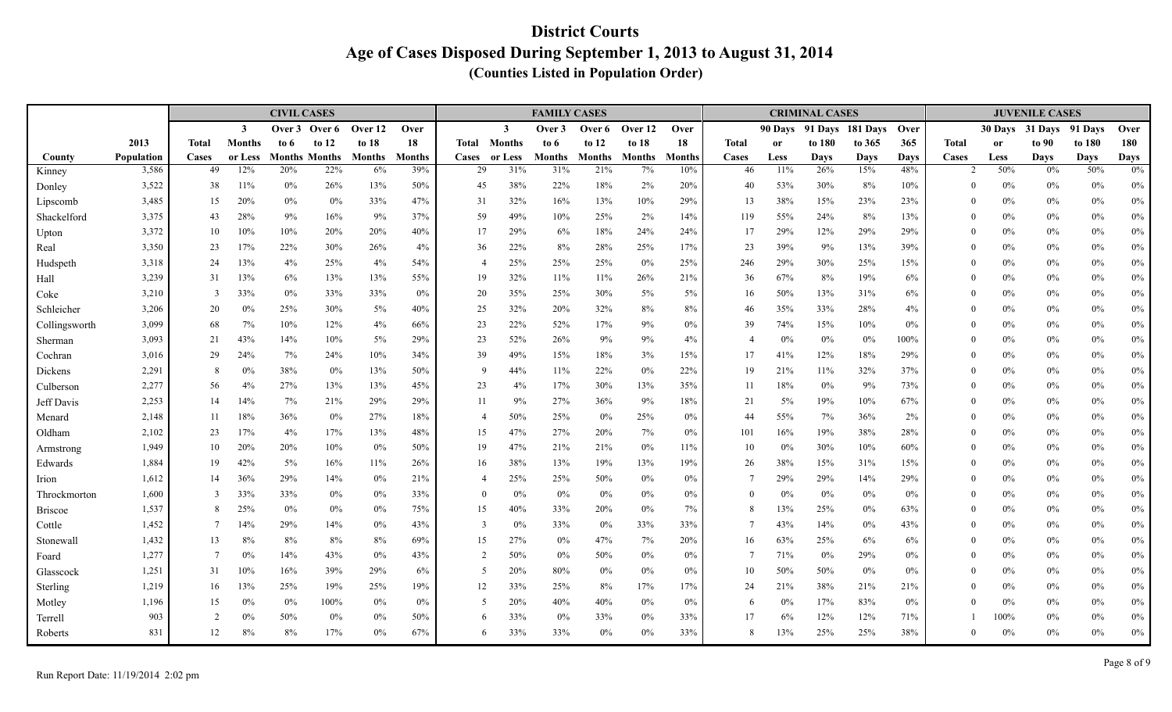|                         |                     |                |                | <b>CIVIL CASES</b> |                             |                     |                      |                |                | <b>FAMILY CASES</b>  |                      |                     |                      |                          |               | <b>CRIMINAL CASES</b> |                  |                    |                        |               | <b>JUVENILE CASES</b> |                    |                      |
|-------------------------|---------------------|----------------|----------------|--------------------|-----------------------------|---------------------|----------------------|----------------|----------------|----------------------|----------------------|---------------------|----------------------|--------------------------|---------------|-----------------------|------------------|--------------------|------------------------|---------------|-----------------------|--------------------|----------------------|
|                         |                     |                | $\mathbf{3}$   | Over 3             | Over 6                      | Over 12             | Over                 |                | $\mathbf{3}$   | Over 3               | Over 6               | Over 12             | Over                 |                          | 90 Days       |                       | 91 Days 181 Days | Over               |                        |               | 30 Days 31 Days       | 91 Davs            | Over                 |
|                         | 2013                | <b>Total</b>   | <b>Months</b>  | to 6               | to $12$                     | to $18$             | 18                   | Total          | <b>Months</b>  | to 6                 | to $12$              | to 18               | 18                   | <b>Total</b>             | <sub>or</sub> | to 180                | to 365           | 365                | <b>Total</b>           | <sub>or</sub> | to 90                 | to 180             | 180                  |
| County                  | Population<br>3,586 | Cases<br>49    | or Less<br>12% | 20%                | <b>Months Months</b><br>22% | <b>Months</b><br>6% | <b>Months</b><br>39% | Cases<br>29    | or Less<br>31% | <b>Months</b><br>31% | <b>Months</b><br>21% | <b>Months</b><br>7% | <b>Months</b><br>10% | Cases<br>46              | Less<br>11%   | Days<br>26%           | Days<br>15%      | <b>Days</b><br>48% | Cases<br>$\mathcal{D}$ | Less<br>50%   | <b>Days</b><br>0%     | <b>Days</b><br>50% | <b>Days</b><br>$0\%$ |
| Kinney                  |                     |                |                |                    |                             |                     | 50%                  |                |                |                      |                      |                     |                      |                          |               |                       |                  |                    | $\theta$               | $0\%$         |                       |                    |                      |
| Donley                  | 3,522<br>3,485      | 38<br>15       | 11%<br>20%     | $0\%$<br>$0\%$     | 26%<br>0%                   | 13%<br>33%          | 47%                  | 45<br>31       | 38%<br>32%     | 22%<br>16%           | 18%<br>13%           | 2%<br>10%           | 20%<br>29%           | 40<br>13                 | 53%<br>38%    | 30%<br>15%            | 8%<br>23%        | 10%<br>23%         | $\theta$               | 0%            | $0\%$<br>$0\%$        | 0%<br>$0\%$        | $0\%$<br>$0\%$       |
| Lipscomb<br>Shackelford | 3,375               | 43             | 28%            | 9%                 | 16%                         | 9%                  | 37%                  | 59             | 49%            | 10%                  | 25%                  | $2\%$               | 14%                  | 119                      | 55%           | 24%                   | 8%               | 13%                | $\Omega$               | $0\%$         | $0\%$                 | 0%                 | $0\%$                |
| Upton                   | 3,372               | 10             | 10%            | 10%                | 20%                         | 20%                 | 40%                  | 17             | 29%            | 6%                   | 18%                  | 24%                 | 24%                  | 17                       | 29%           | 12%                   | 29%              | 29%                | $\theta$               | 0%            | $0\%$                 | $0\%$              | $0\%$                |
| Real                    | 3,350               | 23             | 17%            | 22%                | 30%                         | 26%                 | 4%                   | 36             | 22%            | 8%                   | 28%                  | 25%                 | 17%                  | 23                       | 39%           | 9%                    | 13%              | 39%                | $\theta$               | 0%            | $0\%$                 | 0%                 | $0\%$                |
| Hudspeth                | 3,318               | 24             | 13%            | 4%                 | 25%                         | 4%                  | 54%                  | $\overline{4}$ | 25%            | 25%                  | 25%                  | $0\%$               | 25%                  | 246                      | 29%           | 30%                   | 25%              | 15%                | $\theta$               | 0%            | $0\%$                 | $0\%$              | $0\%$                |
| Hall                    | 3,239               | 31             | 13%            | 6%                 | 13%                         | 13%                 | 55%                  | 19             | 32%            | 11%                  | 11%                  | 26%                 | 21%                  | 36                       | 67%           | 8%                    | 19%              | 6%                 | $\theta$               | $0\%$         | $0\%$                 | $0\%$              | $0\%$                |
| Coke                    | 3,210               | 3              | 33%            | 0%                 | 33%                         | 33%                 | $0\%$                | 20             | 35%            | 25%                  | 30%                  | 5%                  | 5%                   | 16                       | 50%           | 13%                   | 31%              | 6%                 | $\Omega$               | $0\%$         | $0\%$                 | $0\%$              | $0\%$                |
| Schleicher              | 3,206               | 20             | $0\%$          | 25%                | 30%                         | 5%                  | 40%                  | 25             | 32%            | 20%                  | 32%                  | 8%                  | 8%                   | 46                       | 35%           | 33%                   | 28%              | 4%                 | $\theta$               | 0%            | $0\%$                 | $0\%$              | $0\%$                |
| Collingsworth           | 3,099               | 68             | 7%             | 10%                | 12%                         | 4%                  | 66%                  | 23             | 22%            | 52%                  | 17%                  | 9%                  | $0\%$                | 39                       | 74%           | 15%                   | 10%              | 0%                 | $\Omega$               | $0\%$         | $0\%$                 | 0%                 | $0\%$                |
| Sherman                 | 3,093               | 21             | 43%            | 14%                | 10%                         | 5%                  | 29%                  | 23             | 52%            | 26%                  | 9%                   | 9%                  | 4%                   | $\overline{\mathcal{L}}$ | $0\%$         | 0%                    | 0%               | 100%               | $\theta$               | 0%            | $0\%$                 | $0\%$              | $0\%$                |
| Cochran                 | 3,016               | 29             | 24%            | 7%                 | 24%                         | 10%                 | 34%                  | 39             | 49%            | 15%                  | 18%                  | 3%                  | 15%                  | 17                       | 41%           | 12%                   | 18%              | 29%                | $\Omega$               | $0\%$         | $0\%$                 | $0\%$              | $0\%$                |
| Dickens                 | 2,291               | -8             | 0%             | 38%                | 0%                          | 13%                 | 50%                  | -9             | 44%            | 11%                  | 22%                  | 0%                  | 22%                  | 19                       | 21%           | 11%                   | 32%              | 37%                | $\theta$               | 0%            | $0\%$                 | $0\%$              | $0\%$                |
| Culberson               | 2,277               | 56             | 4%             | 27%                | 13%                         | 13%                 | 45%                  | 23             | 4%             | 17%                  | 30%                  | 13%                 | 35%                  | 11                       | 18%           | $0\%$                 | 9%               | 73%                | $\theta$               | $0\%$         | $0\%$                 | $0\%$              | $0\%$                |
| Jeff Davis              | 2,253               | 14             | 14%            | 7%                 | 21%                         | 29%                 | 29%                  | 11             | 9%             | 27%                  | 36%                  | 9%                  | 18%                  | 21                       | $5\%$         | 19%                   | 10%              | 67%                | $\Omega$               | $0\%$         | $0\%$                 | 0%                 | $0\%$                |
| Menard                  | 2,148               | 11             | 18%            | 36%                | 0%                          | 27%                 | 18%                  | $\overline{4}$ | 50%            | 25%                  | 0%                   | 25%                 | 0%                   | 44                       | 55%           | 7%                    | 36%              | 2%                 | $\theta$               | $0\%$         | $0\%$                 | $0\%$              | $0\%$                |
| Oldham                  | 2,102               | 23             | 17%            | 4%                 | 17%                         | 13%                 | 48%                  | 15             | 47%            | 27%                  | 20%                  | 7%                  | 0%                   | 101                      | 16%           | 19%                   | 38%              | 28%                | $\Omega$               | 0%            | $0\%$                 | $0\%$              | $0\%$                |
| Armstrong               | 1,949               | 10             | 20%            | 20%                | 10%                         | 0%                  | 50%                  | 19             | 47%            | 21%                  | 21%                  | $0\%$               | 11%                  | 10                       | $0\%$         | 30%                   | 10%              | 60%                | $\theta$               | 0%            | $0\%$                 | 0%                 | $0\%$                |
| Edwards                 | 1,884               | 19             | 42%            | $5\%$              | 16%                         | 11%                 | 26%                  | 16             | 38%            | 13%                  | 19%                  | 13%                 | 19%                  | 26                       | 38%           | 15%                   | 31%              | 15%                | $\theta$               | 0%            | $0\%$                 | $0\%$              | $0\%$                |
| Irion                   | 1,612               | 14             | 36%            | 29%                | 14%                         | 0%                  | 21%                  | $\overline{4}$ | 25%            | 25%                  | 50%                  | 0%                  | 0%                   | 7                        | 29%           | 29%                   | 14%              | 29%                | $\theta$               | $0\%$         | $0\%$                 | $0\%$              | $0\%$                |
| Throckmorton            | 1,600               | $\mathcal{R}$  | 33%            | 33%                | 0%                          | 0%                  | 33%                  | $\theta$       | 0%             | 0%                   | 0%                   | 0%                  | 0%                   | $\theta$                 | 0%            | $0\%$                 | 0%               | 0%                 | $\theta$               | 0%            | $0\%$                 | $0\%$              | $0\%$                |
| Briscoe                 | 1,537               | -8             | 25%            | $0\%$              | 0%                          | 0%                  | 75%                  | 15             | 40%            | 33%                  | 20%                  | 0%                  | 7%                   | 8                        | 13%           | 25%                   | 0%               | 63%                | $\theta$               | 0%            | $0\%$                 | 0%                 | $0\%$                |
| Cottle                  | 1,452               | -7             | 14%            | 29%                | 14%                         | 0%                  | 43%                  | 3              | 0%             | 33%                  | $0\%$                | 33%                 | 33%                  | $\overline{7}$           | 43%           | 14%                   | $0\%$            | 43%                | $\theta$               | 0%            | $0\%$                 | $0\%$              | $0\%$                |
| Stonewall               | 1,432               | 13             | 8%             | 8%                 | 8%                          | 8%                  | 69%                  | 15             | 27%            | 0%                   | 47%                  | 7%                  | 20%                  | 16                       | 63%           | 25%                   | 6%               | 6%                 | $\Omega$               | $0\%$         | $0\%$                 | $0\%$              | $0\%$                |
| Foard                   | 1,277               | $\overline{7}$ | 0%             | 14%                | 43%                         | 0%                  | 43%                  | $\overline{2}$ | 50%            | 0%                   | 50%                  | $0\%$               | 0%                   | $\overline{7}$           | 71%           | $0\%$                 | 29%              | 0%                 | $\Omega$               | $0\%$         | $0\%$                 | $0\%$              | $0\%$                |
| Glasscock               | 1,251               | 31             | 10%            | 16%                | 39%                         | 29%                 | 6%                   | 5              | 20%            | 80%                  | $0\%$                | 0%                  | 0%                   | 10                       | 50%           | 50%                   | 0%               | 0%                 | $\Omega$               | 0%            | $0\%$                 | $0\%$              | $0\%$                |
| Sterling                | 1,219               | 16             | 13%            | 25%                | 19%                         | 25%                 | 19%                  | 12             | 33%            | 25%                  | 8%                   | 17%                 | 17%                  | 24                       | 21%           | 38%                   | 21%              | 21%                | $\Omega$               | 0%            | $0\%$                 | $0\%$              | $0\%$                |
| Motley                  | 1,196               | 15             | 0%             | $0\%$              | 100%                        | 0%                  | $0\%$                | 5              | 20%            | 40%                  | 40%                  | 0%                  | 0%                   | 6                        | $0\%$         | 17%                   | 83%              | 0%                 | $\theta$               | 0%            | $0\%$                 | $0\%$              | $0\%$                |
| Terrell                 | 903                 | $\overline{2}$ | 0%             | 50%                | 0%                          | 0%                  | 50%                  | 6              | 33%            | 0%                   | 33%                  | 0%                  | 33%                  | 17                       | 6%            | 12%                   | 12%              | 71%                |                        | 100%          | $0\%$                 | $0\%$              | $0\%$                |
| Roberts                 | 831                 | 12             | 8%             | 8%                 | 17%                         | $0\%$               | 67%                  | 6              | 33%            | 33%                  | 0%                   | 0%                  | 33%                  | 8                        | 13%           | 25%                   | 25%              | 38%                | $\Omega$               | 0%            | $0\%$                 | $0\%$              | $0\%$                |